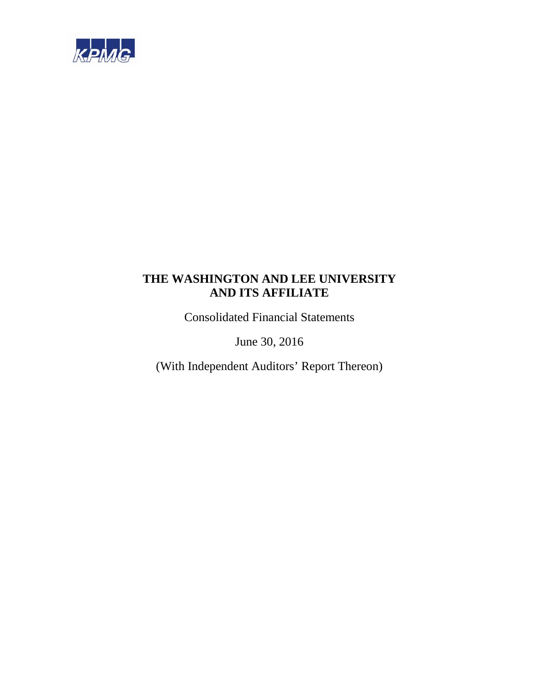

Consolidated Financial Statements

June 30, 2016

(With Independent Auditors' Report Thereon)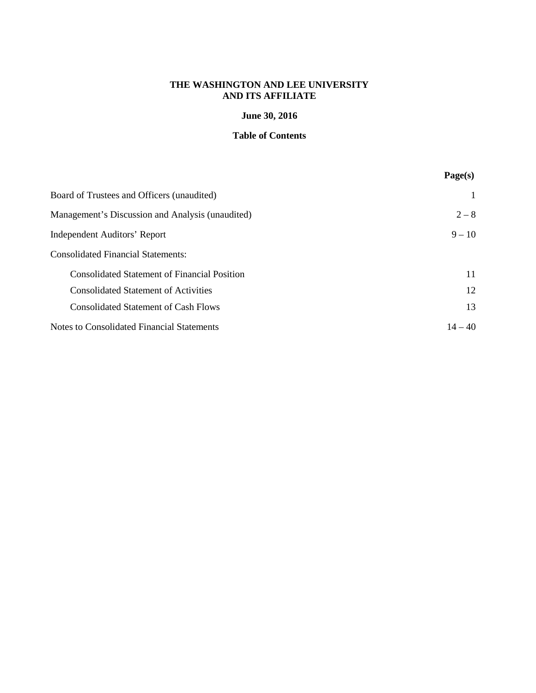# **June 30, 2016**

# **Table of Contents**

|                                                     | Page(s)   |
|-----------------------------------------------------|-----------|
| Board of Trustees and Officers (unaudited)          |           |
| Management's Discussion and Analysis (unaudited)    | $2 - 8$   |
| <b>Independent Auditors' Report</b>                 | $9 - 10$  |
| <b>Consolidated Financial Statements:</b>           |           |
| <b>Consolidated Statement of Financial Position</b> | 11        |
| <b>Consolidated Statement of Activities</b>         | 12        |
| <b>Consolidated Statement of Cash Flows</b>         | 13        |
| Notes to Consolidated Financial Statements          | $14 - 40$ |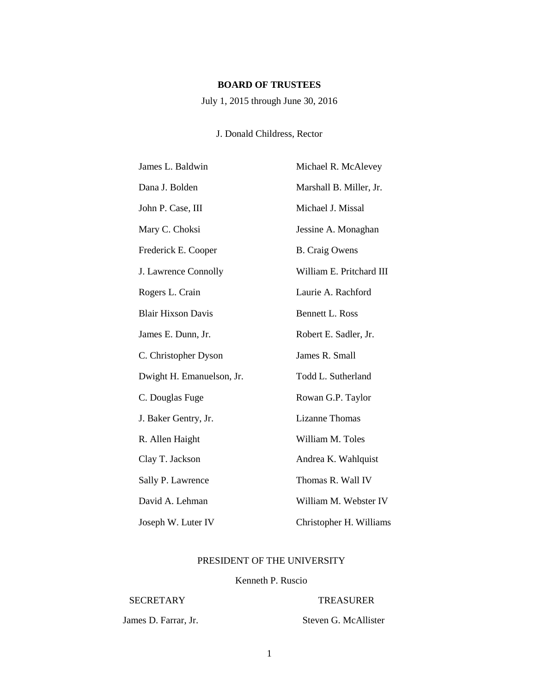# **BOARD OF TRUSTEES**

July 1, 2015 through June 30, 2016

# J. Donald Childress, Rector

| James L. Baldwin          | Michael R. McAlevey      |
|---------------------------|--------------------------|
| Dana J. Bolden            | Marshall B. Miller, Jr.  |
| John P. Case, III         | Michael J. Missal        |
| Mary C. Choksi            | Jessine A. Monaghan      |
| Frederick E. Cooper       | <b>B.</b> Craig Owens    |
| J. Lawrence Connolly      | William E. Pritchard III |
| Rogers L. Crain           | Laurie A. Rachford       |
| <b>Blair Hixson Davis</b> | <b>Bennett L. Ross</b>   |
| James E. Dunn, Jr.        | Robert E. Sadler, Jr.    |
| C. Christopher Dyson      | James R. Small           |
| Dwight H. Emanuelson, Jr. | Todd L. Sutherland       |
| C. Douglas Fuge           | Rowan G.P. Taylor        |
| J. Baker Gentry, Jr.      | <b>Lizanne Thomas</b>    |
| R. Allen Haight           | William M. Toles         |
| Clay T. Jackson           | Andrea K. Wahlquist      |
| Sally P. Lawrence         | Thomas R. Wall IV        |
| David A. Lehman           | William M. Webster IV    |
| Joseph W. Luter IV        | Christopher H. Williams  |

# PRESIDENT OF THE UNIVERSITY

# Kenneth P. Ruscio

# SECRETARY TREASURER

James D. Farrar, Jr. Steven G. McAllister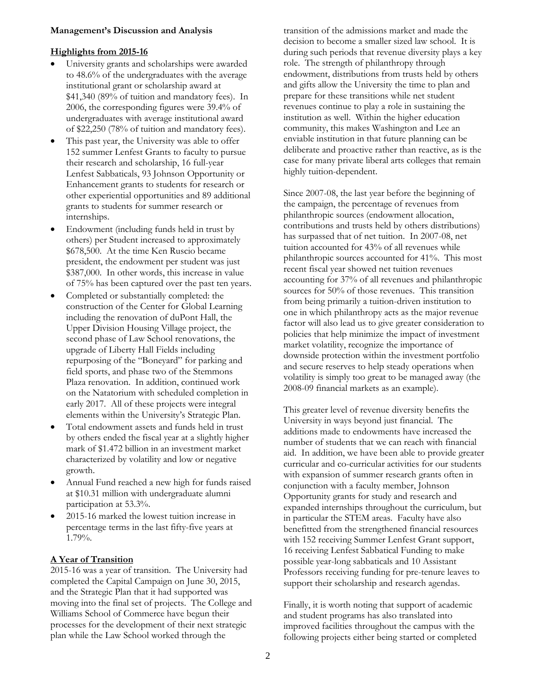#### **Management's Discussion and Analysis**

## **Highlights from 2015-16**

- University grants and scholarships were awarded to 48.6% of the undergraduates with the average institutional grant or scholarship award at \$41,340 (89% of tuition and mandatory fees). In 2006, the corresponding figures were 39.4% of undergraduates with average institutional award of \$22,250 (78% of tuition and mandatory fees).
- This past year, the University was able to offer 152 summer Lenfest Grants to faculty to pursue their research and scholarship, 16 full-year Lenfest Sabbaticals, 93 Johnson Opportunity or Enhancement grants to students for research or other experiential opportunities and 89 additional grants to students for summer research or internships.
- Endowment (including funds held in trust by others) per Student increased to approximately \$678,500. At the time Ken Ruscio became president, the endowment per student was just \$387,000. In other words, this increase in value of 75% has been captured over the past ten years.
- Completed or substantially completed: the construction of the Center for Global Learning including the renovation of duPont Hall, the Upper Division Housing Village project, the second phase of Law School renovations, the upgrade of Liberty Hall Fields including repurposing of the "Boneyard" for parking and field sports, and phase two of the Stemmons Plaza renovation. In addition, continued work on the Natatorium with scheduled completion in early 2017. All of these projects were integral elements within the University's Strategic Plan.
- Total endowment assets and funds held in trust by others ended the fiscal year at a slightly higher mark of \$1.472 billion in an investment market characterized by volatility and low or negative growth.
- Annual Fund reached a new high for funds raised at \$10.31 million with undergraduate alumni participation at 53.3%.
- 2015-16 marked the lowest tuition increase in percentage terms in the last fifty-five years at 1.79%.

# **A Year of Transition**

2015-16 was a year of transition. The University had completed the Capital Campaign on June 30, 2015, and the Strategic Plan that it had supported was moving into the final set of projects. The College and Williams School of Commerce have begun their processes for the development of their next strategic plan while the Law School worked through the

transition of the admissions market and made the decision to become a smaller sized law school. It is during such periods that revenue diversity plays a key role. The strength of philanthropy through endowment, distributions from trusts held by others and gifts allow the University the time to plan and prepare for these transitions while net student revenues continue to play a role in sustaining the institution as well. Within the higher education community, this makes Washington and Lee an enviable institution in that future planning can be deliberate and proactive rather than reactive, as is the case for many private liberal arts colleges that remain highly tuition-dependent.

Since 2007-08, the last year before the beginning of the campaign, the percentage of revenues from philanthropic sources (endowment allocation, contributions and trusts held by others distributions) has surpassed that of net tuition. In 2007-08, net tuition accounted for 43% of all revenues while philanthropic sources accounted for 41%. This most recent fiscal year showed net tuition revenues accounting for 37% of all revenues and philanthropic sources for 50% of those revenues. This transition from being primarily a tuition-driven institution to one in which philanthropy acts as the major revenue factor will also lead us to give greater consideration to policies that help minimize the impact of investment market volatility, recognize the importance of downside protection within the investment portfolio and secure reserves to help steady operations when volatility is simply too great to be managed away (the 2008-09 financial markets as an example).

This greater level of revenue diversity benefits the University in ways beyond just financial. The additions made to endowments have increased the number of students that we can reach with financial aid. In addition, we have been able to provide greater curricular and co-curricular activities for our students with expansion of summer research grants often in conjunction with a faculty member, Johnson Opportunity grants for study and research and expanded internships throughout the curriculum, but in particular the STEM areas. Faculty have also benefitted from the strengthened financial resources with 152 receiving Summer Lenfest Grant support, 16 receiving Lenfest Sabbatical Funding to make possible year-long sabbaticals and 10 Assistant Professors receiving funding for pre-tenure leaves to support their scholarship and research agendas.

Finally, it is worth noting that support of academic and student programs has also translated into improved facilities throughout the campus with the following projects either being started or completed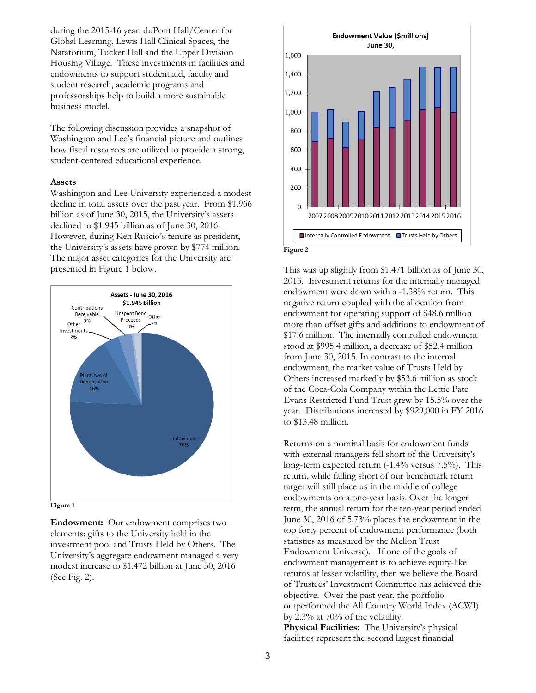during the 2015-16 year: duPont Hall/Center for Global Learning, Lewis Hall Clinical Spaces, the Natatorium, Tucker Hall and the Upper Division Housing Village. These investments in facilities and endowments to support student aid, faculty and student research, academic programs and professorships help to build a more sustainable business model.

The following discussion provides a snapshot of Washington and Lee's financial picture and outlines how fiscal resources are utilized to provide a strong, student-centered educational experience.

#### **Assets**

Washington and Lee University experienced a modest decline in total assets over the past year. From \$1.966 billion as of June 30, 2015, the University's assets declined to \$1.945 billion as of June 30, 2016. However, during Ken Ruscio's tenure as president, the University's assets have grown by \$774 million. The major asset categories for the University are presented in Figure 1 below.



**Figure 1**

**Endowment:** Our endowment comprises two elements: gifts to the University held in the investment pool and Trusts Held by Others. The University's aggregate endowment managed a very modest increase to \$1.472 billion at June 30, 2016 (See Fig. 2).



This was up slightly from \$1.471 billion as of June 30, 2015. Investment returns for the internally managed endowment were down with a -1.38% return. This negative return coupled with the allocation from endowment for operating support of \$48.6 million more than offset gifts and additions to endowment of \$17.6 million. The internally controlled endowment stood at \$995.4 million, a decrease of \$52.4 million from June 30, 2015. In contrast to the internal endowment, the market value of Trusts Held by Others increased markedly by \$53.6 million as stock of the Coca-Cola Company within the Lettie Pate Evans Restricted Fund Trust grew by 15.5% over the year. Distributions increased by \$929,000 in FY 2016 to \$13.48 million.

Returns on a nominal basis for endowment funds with external managers fell short of the University's long-term expected return (-1.4% versus 7.5%). This return, while falling short of our benchmark return target will still place us in the middle of college endowments on a one-year basis. Over the longer term, the annual return for the ten-year period ended June 30, 2016 of 5.73% places the endowment in the top forty percent of endowment performance (both statistics as measured by the Mellon Trust Endowment Universe). If one of the goals of endowment management is to achieve equity-like returns at lesser volatility, then we believe the Board of Trustees' Investment Committee has achieved this objective. Over the past year, the portfolio outperformed the All Country World Index (ACWI) by 2.3% at 70% of the volatility.

**Physical Facilities:** The University's physical facilities represent the second largest financial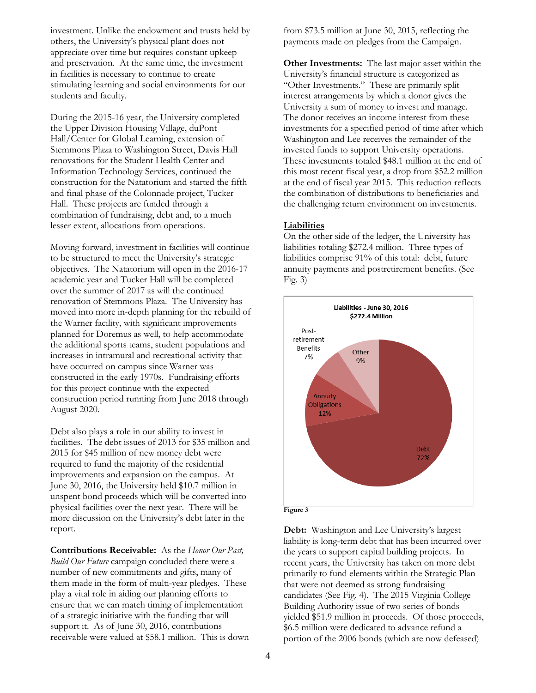investment. Unlike the endowment and trusts held by others, the University's physical plant does not appreciate over time but requires constant upkeep and preservation. At the same time, the investment in facilities is necessary to continue to create stimulating learning and social environments for our students and faculty.

During the 2015-16 year, the University completed the Upper Division Housing Village, duPont Hall/Center for Global Learning, extension of Stemmons Plaza to Washington Street, Davis Hall renovations for the Student Health Center and Information Technology Services, continued the construction for the Natatorium and started the fifth and final phase of the Colonnade project, Tucker Hall. These projects are funded through a combination of fundraising, debt and, to a much lesser extent, allocations from operations.

Moving forward, investment in facilities will continue to be structured to meet the University's strategic objectives. The Natatorium will open in the 2016-17 academic year and Tucker Hall will be completed over the summer of 2017 as will the continued renovation of Stemmons Plaza. The University has moved into more in-depth planning for the rebuild of the Warner facility, with significant improvements planned for Doremus as well, to help accommodate the additional sports teams, student populations and increases in intramural and recreational activity that have occurred on campus since Warner was constructed in the early 1970s. Fundraising efforts for this project continue with the expected construction period running from June 2018 through August 2020.

Debt also plays a role in our ability to invest in facilities. The debt issues of 2013 for \$35 million and 2015 for \$45 million of new money debt were required to fund the majority of the residential improvements and expansion on the campus. At June 30, 2016, the University held \$10.7 million in unspent bond proceeds which will be converted into physical facilities over the next year. There will be more discussion on the University's debt later in the report.

**Contributions Receivable:** As the *Honor Our Past, Build Our Future* campaign concluded there were a number of new commitments and gifts, many of them made in the form of multi-year pledges. These play a vital role in aiding our planning efforts to ensure that we can match timing of implementation of a strategic initiative with the funding that will support it. As of June 30, 2016, contributions receivable were valued at \$58.1 million. This is down from \$73.5 million at June 30, 2015, reflecting the payments made on pledges from the Campaign.

**Other Investments:** The last major asset within the University's financial structure is categorized as "Other Investments." These are primarily split interest arrangements by which a donor gives the University a sum of money to invest and manage. The donor receives an income interest from these investments for a specified period of time after which Washington and Lee receives the remainder of the invested funds to support University operations. These investments totaled \$48.1 million at the end of this most recent fiscal year, a drop from \$52.2 million at the end of fiscal year 2015. This reduction reflects the combination of distributions to beneficiaries and the challenging return environment on investments.

#### **Liabilities**

On the other side of the ledger, the University has liabilities totaling \$272.4 million. Three types of liabilities comprise 91% of this total: debt, future annuity payments and postretirement benefits. (See Fig.  $3)$ 



**Debt:** Washington and Lee University's largest liability is long-term debt that has been incurred over the years to support capital building projects. In recent years, the University has taken on more debt primarily to fund elements within the Strategic Plan that were not deemed as strong fundraising candidates (See Fig. 4). The 2015 Virginia College Building Authority issue of two series of bonds yielded \$51.9 million in proceeds. Of those proceeds, \$6.5 million were dedicated to advance refund a portion of the 2006 bonds (which are now defeased)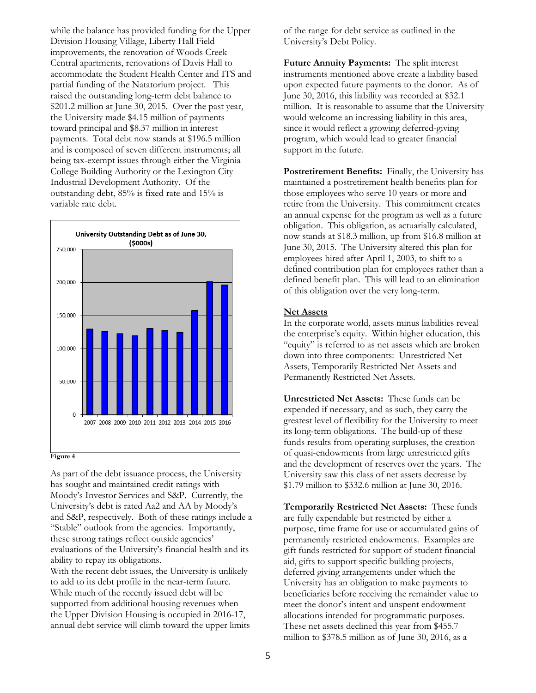while the balance has provided funding for the Upper Division Housing Village, Liberty Hall Field improvements, the renovation of Woods Creek Central apartments, renovations of Davis Hall to accommodate the Student Health Center and ITS and partial funding of the Natatorium project. This raised the outstanding long-term debt balance to \$201.2 million at June 30, 2015. Over the past year, the University made \$4.15 million of payments toward principal and \$8.37 million in interest payments. Total debt now stands at \$196.5 million and is composed of seven different instruments; all being tax-exempt issues through either the Virginia College Building Authority or the Lexington City Industrial Development Authority. Of the outstanding debt, 85% is fixed rate and 15% is variable rate debt.



As part of the debt issuance process, the University has sought and maintained credit ratings with Moody's Investor Services and S&P. Currently, the University's debt is rated Aa2 and AA by Moody's and S&P, respectively. Both of these ratings include a "Stable" outlook from the agencies. Importantly, these strong ratings reflect outside agencies' evaluations of the University's financial health and its ability to repay its obligations.

With the recent debt issues, the University is unlikely to add to its debt profile in the near-term future. While much of the recently issued debt will be supported from additional housing revenues when the Upper Division Housing is occupied in 2016-17, annual debt service will climb toward the upper limits of the range for debt service as outlined in the University's Debt Policy.

**Future Annuity Payments:** The split interest instruments mentioned above create a liability based upon expected future payments to the donor. As of June 30, 2016, this liability was recorded at \$32.1 million. It is reasonable to assume that the University would welcome an increasing liability in this area, since it would reflect a growing deferred-giving program, which would lead to greater financial support in the future.

**Postretirement Benefits:** Finally, the University has maintained a postretirement health benefits plan for those employees who serve 10 years or more and retire from the University. This commitment creates an annual expense for the program as well as a future obligation. This obligation, as actuarially calculated, now stands at \$18.3 million, up from \$16.8 million at June 30, 2015. The University altered this plan for employees hired after April 1, 2003, to shift to a defined contribution plan for employees rather than a defined benefit plan. This will lead to an elimination of this obligation over the very long-term.

# **Net Assets**

In the corporate world, assets minus liabilities reveal the enterprise's equity. Within higher education, this "equity" is referred to as net assets which are broken down into three components: Unrestricted Net Assets, Temporarily Restricted Net Assets and Permanently Restricted Net Assets.

**Unrestricted Net Assets:** These funds can be expended if necessary, and as such, they carry the greatest level of flexibility for the University to meet its long-term obligations. The build-up of these funds results from operating surpluses, the creation of quasi-endowments from large unrestricted gifts and the development of reserves over the years. The University saw this class of net assets decrease by \$1.79 million to \$332.6 million at June 30, 2016.

**Temporarily Restricted Net Assets:** These funds are fully expendable but restricted by either a purpose, time frame for use or accumulated gains of permanently restricted endowments. Examples are gift funds restricted for support of student financial aid, gifts to support specific building projects, deferred giving arrangements under which the University has an obligation to make payments to beneficiaries before receiving the remainder value to meet the donor's intent and unspent endowment allocations intended for programmatic purposes. These net assets declined this year from \$455.7 million to \$378.5 million as of June 30, 2016, as a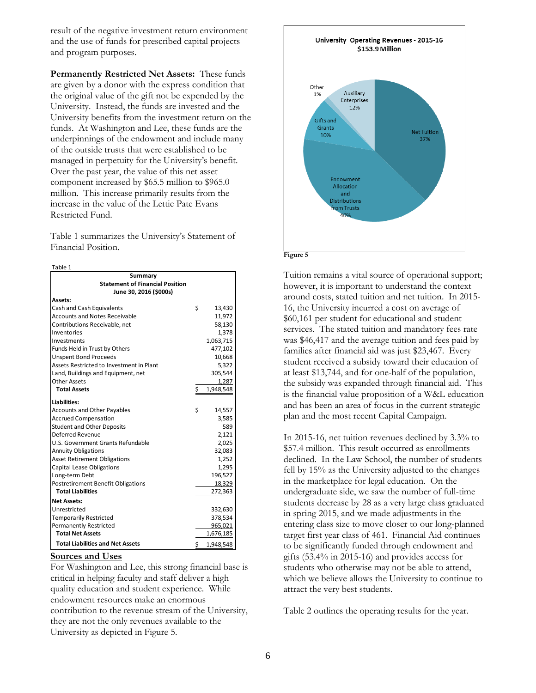result of the negative investment return environment and the use of funds for prescribed capital projects and program purposes.

**Permanently Restricted Net Assets:** These funds are given by a donor with the express condition that the original value of the gift not be expended by the University. Instead, the funds are invested and the University benefits from the investment return on the funds. At Washington and Lee, these funds are the underpinnings of the endowment and include many of the outside trusts that were established to be managed in perpetuity for the University's benefit. Over the past year, the value of this net asset component increased by \$65.5 million to \$965.0 million. This increase primarily results from the increase in the value of the Lettie Pate Evans Restricted Fund.

Table 1 summarizes the University's Statement of Financial Position.

| I |  |
|---|--|
|---|--|

| Summary                                   |    |           |  |  |
|-------------------------------------------|----|-----------|--|--|
| <b>Statement of Financial Position</b>    |    |           |  |  |
| June 30, 2016 (\$000s)                    |    |           |  |  |
| Assets:                                   |    |           |  |  |
| Cash and Cash Equivalents                 | Ś  | 13,430    |  |  |
| <b>Accounts and Notes Receivable</b>      |    | 11,972    |  |  |
| Contributions Receivable, net             |    | 58,130    |  |  |
| Inventories                               |    | 1,378     |  |  |
| Investments                               |    | 1,063,715 |  |  |
| Funds Held in Trust by Others             |    | 477,102   |  |  |
| <b>Unspent Bond Proceeds</b>              |    | 10,668    |  |  |
| Assets Restricted to Investment in Plant  |    | 5,322     |  |  |
| Land, Buildings and Equipment, net        |    | 305,544   |  |  |
| <b>Other Assets</b>                       |    | 1,287     |  |  |
| <b>Total Assets</b>                       | \$ | 1,948,548 |  |  |
| Liabilities:                              |    |           |  |  |
| <b>Accounts and Other Payables</b>        | Ś  | 14,557    |  |  |
| <b>Accrued Compensation</b>               |    | 3,585     |  |  |
| <b>Student and Other Deposits</b>         |    | 589       |  |  |
| Deferred Revenue                          |    | 2,121     |  |  |
| U.S. Government Grants Refundable         |    | 2,025     |  |  |
| <b>Annuity Obligations</b>                |    | 32,083    |  |  |
| <b>Asset Retirement Obligations</b>       |    | 1,252     |  |  |
| <b>Capital Lease Obligations</b>          |    | 1,295     |  |  |
| Long-term Debt                            |    | 196,527   |  |  |
| <b>Postretirement Benefit Obligations</b> |    | 18,329    |  |  |
| <b>Total Liabilities</b>                  |    | 272,363   |  |  |
| <b>Net Assets:</b>                        |    |           |  |  |
| Unrestricted                              |    | 332,630   |  |  |
| <b>Temporarily Restricted</b>             |    | 378,534   |  |  |
| <b>Permanently Restricted</b>             |    | 965,021   |  |  |
| <b>Total Net Assets</b>                   |    | 1,676,185 |  |  |
| <b>Total Liabilities and Net Assets</b>   | Ś  | 1.948.548 |  |  |

#### **Sources and Uses**

For Washington and Lee, this strong financial base is critical in helping faculty and staff deliver a high quality education and student experience. While endowment resources make an enormous contribution to the revenue stream of the University, they are not the only revenues available to the University as depicted in Figure 5.





Tuition remains a vital source of operational support; however, it is important to understand the context around costs, stated tuition and net tuition. In 2015- 16, the University incurred a cost on average of \$60,161 per student for educational and student services. The stated tuition and mandatory fees rate was \$46,417 and the average tuition and fees paid by families after financial aid was just \$23,467. Every student received a subsidy toward their education of at least \$13,744, and for one-half of the population, the subsidy was expanded through financial aid. This is the financial value proposition of a W&L education and has been an area of focus in the current strategic plan and the most recent Capital Campaign.

In 2015-16, net tuition revenues declined by 3.3% to \$57.4 million. This result occurred as enrollments declined. In the Law School, the number of students fell by 15% as the University adjusted to the changes in the marketplace for legal education. On the undergraduate side, we saw the number of full-time students decrease by 28 as a very large class graduated in spring 2015, and we made adjustments in the entering class size to move closer to our long-planned target first year class of 461. Financial Aid continues to be significantly funded through endowment and gifts (53.4% in 2015-16) and provides access for students who otherwise may not be able to attend, which we believe allows the University to continue to attract the very best students.

Table 2 outlines the operating results for the year.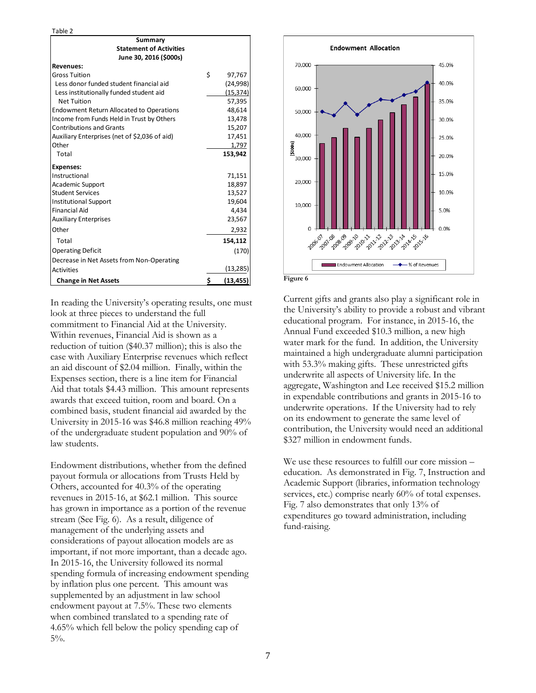Table 2

| Summary                                         |    |           |
|-------------------------------------------------|----|-----------|
| <b>Statement of Activities</b>                  |    |           |
| June 30, 2016 (\$000s)                          |    |           |
| <b>Revenues:</b>                                |    |           |
| <b>Gross Tuition</b>                            | Ś  | 97,767    |
| Less donor funded student financial aid         |    | (24, 998) |
| Less institutionally funded student aid         |    | (15, 374) |
| <b>Net Tuition</b>                              |    | 57,395    |
| <b>Endowment Return Allocated to Operations</b> |    | 48,614    |
| Income from Funds Held in Trust by Others       |    | 13,478    |
| <b>Contributions and Grants</b>                 |    | 15,207    |
| Auxiliary Enterprises (net of \$2,036 of aid)   |    | 17,451    |
| Other                                           |    | 1,797     |
| Total                                           |    | 153,942   |
| <b>Expenses:</b>                                |    |           |
| Instructional                                   |    | 71,151    |
| <b>Academic Support</b>                         |    | 18,897    |
| <b>Student Services</b>                         |    | 13,527    |
| <b>Institutional Support</b>                    |    | 19,604    |
| <b>Financial Aid</b>                            |    | 4,434     |
| <b>Auxiliary Enterprises</b>                    |    | 23,567    |
| Other                                           |    | 2,932     |
| Total                                           |    | 154,112   |
| <b>Operating Deficit</b>                        |    | (170)     |
| Decrease in Net Assets from Non-Operating       |    |           |
| <b>Activities</b>                               |    | (13, 285) |
| <b>Change in Net Assets</b>                     | \$ | (13, 455) |

In reading the University's operating results, one must look at three pieces to understand the full commitment to Financial Aid at the University. Within revenues, Financial Aid is shown as a reduction of tuition (\$40.37 million); this is also the case with Auxiliary Enterprise revenues which reflect an aid discount of \$2.04 million. Finally, within the Expenses section, there is a line item for Financial Aid that totals \$4.43 million. This amount represents awards that exceed tuition, room and board. On a combined basis, student financial aid awarded by the University in 2015-16 was \$46.8 million reaching 49% of the undergraduate student population and 90% of law students.

Endowment distributions, whether from the defined payout formula or allocations from Trusts Held by Others, accounted for 40.3% of the operating revenues in 2015-16, at \$62.1 million. This source has grown in importance as a portion of the revenue stream (See Fig. 6). As a result, diligence of management of the underlying assets and considerations of payout allocation models are as important, if not more important, than a decade ago. In 2015-16, the University followed its normal spending formula of increasing endowment spending by inflation plus one percent. This amount was supplemented by an adjustment in law school endowment payout at 7.5%. These two elements when combined translated to a spending rate of 4.65% which fell below the policy spending cap of 5%.



Current gifts and grants also play a significant role in the University's ability to provide a robust and vibrant educational program. For instance, in 2015-16, the Annual Fund exceeded \$10.3 million, a new high water mark for the fund. In addition, the University maintained a high undergraduate alumni participation with 53.3% making gifts. These unrestricted gifts underwrite all aspects of University life. In the aggregate, Washington and Lee received \$15.2 million in expendable contributions and grants in 2015-16 to underwrite operations. If the University had to rely on its endowment to generate the same level of contribution, the University would need an additional \$327 million in endowment funds.

We use these resources to fulfill our core mission – education. As demonstrated in Fig. 7, Instruction and Academic Support (libraries, information technology services, etc.) comprise nearly 60% of total expenses. Fig. 7 also demonstrates that only 13% of expenditures go toward administration, including fund-raising.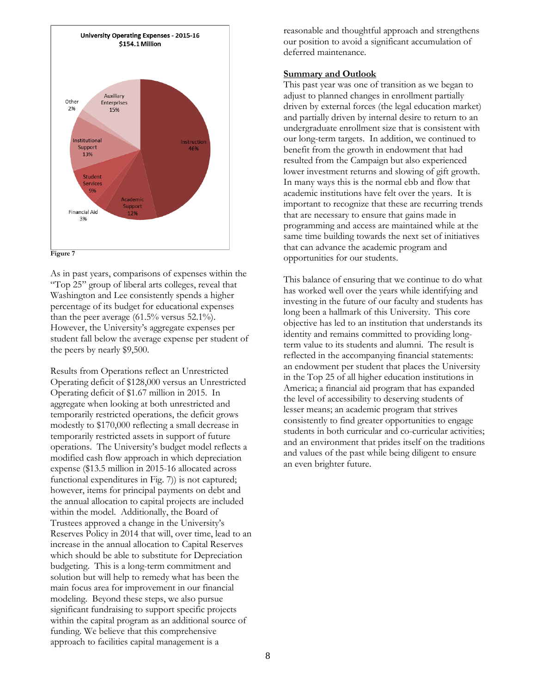



As in past years, comparisons of expenses within the "Top 25" group of liberal arts colleges, reveal that Washington and Lee consistently spends a higher percentage of its budget for educational expenses than the peer average (61.5% versus 52.1%). However, the University's aggregate expenses per student fall below the average expense per student of the peers by nearly \$9,500.

Results from Operations reflect an Unrestricted Operating deficit of \$128,000 versus an Unrestricted Operating deficit of \$1.67 million in 2015. In aggregate when looking at both unrestricted and temporarily restricted operations, the deficit grows modestly to \$170,000 reflecting a small decrease in temporarily restricted assets in support of future operations. The University's budget model reflects a modified cash flow approach in which depreciation expense (\$13.5 million in 2015-16 allocated across functional expenditures in Fig. 7)) is not captured; however, items for principal payments on debt and the annual allocation to capital projects are included within the model. Additionally, the Board of Trustees approved a change in the University's Reserves Policy in 2014 that will, over time, lead to an increase in the annual allocation to Capital Reserves which should be able to substitute for Depreciation budgeting. This is a long-term commitment and solution but will help to remedy what has been the main focus area for improvement in our financial modeling. Beyond these steps, we also pursue significant fundraising to support specific projects within the capital program as an additional source of funding. We believe that this comprehensive approach to facilities capital management is a

reasonable and thoughtful approach and strengthens our position to avoid a significant accumulation of deferred maintenance.

## **Summary and Outlook**

This past year was one of transition as we began to adjust to planned changes in enrollment partially driven by external forces (the legal education market) and partially driven by internal desire to return to an undergraduate enrollment size that is consistent with our long-term targets. In addition, we continued to benefit from the growth in endowment that had resulted from the Campaign but also experienced lower investment returns and slowing of gift growth. In many ways this is the normal ebb and flow that academic institutions have felt over the years. It is important to recognize that these are recurring trends that are necessary to ensure that gains made in programming and access are maintained while at the same time building towards the next set of initiatives that can advance the academic program and opportunities for our students.

This balance of ensuring that we continue to do what has worked well over the years while identifying and investing in the future of our faculty and students has long been a hallmark of this University. This core objective has led to an institution that understands its identity and remains committed to providing longterm value to its students and alumni. The result is reflected in the accompanying financial statements: an endowment per student that places the University in the Top 25 of all higher education institutions in America; a financial aid program that has expanded the level of accessibility to deserving students of lesser means; an academic program that strives consistently to find greater opportunities to engage students in both curricular and co-curricular activities; and an environment that prides itself on the traditions and values of the past while being diligent to ensure an even brighter future.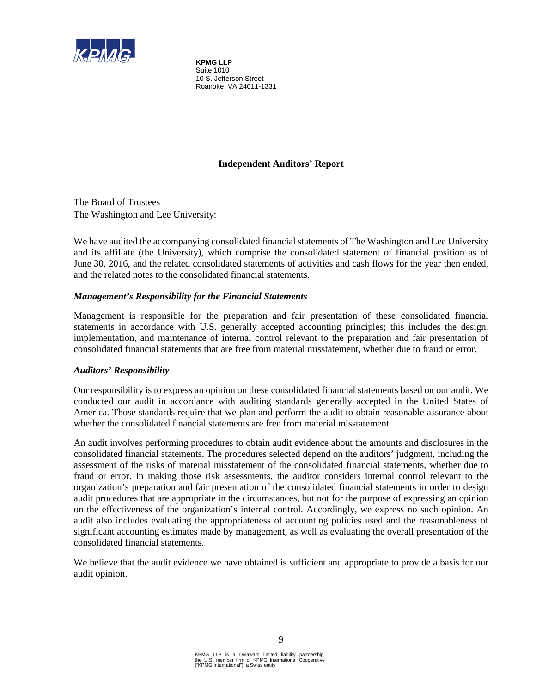

**KPMG LLP** Suite 1010 10 S. Jefferson Street Roanoke, VA 24011-1331

# **Independent Auditors' Report**

The Board of Trustees The Washington and Lee University:

We have audited the accompanying consolidated financial statements of The Washington and Lee University and its affiliate (the University), which comprise the consolidated statement of financial position as of June 30, 2016, and the related consolidated statements of activities and cash flows for the year then ended, and the related notes to the consolidated financial statements.

# *Management's Responsibility for the Financial Statements*

Management is responsible for the preparation and fair presentation of these consolidated financial statements in accordance with U.S. generally accepted accounting principles; this includes the design, implementation, and maintenance of internal control relevant to the preparation and fair presentation of consolidated financial statements that are free from material misstatement, whether due to fraud or error.

# *Auditors' Responsibility*

Our responsibility is to express an opinion on these consolidated financial statements based on our audit. We conducted our audit in accordance with auditing standards generally accepted in the United States of America. Those standards require that we plan and perform the audit to obtain reasonable assurance about whether the consolidated financial statements are free from material misstatement.

An audit involves performing procedures to obtain audit evidence about the amounts and disclosures in the consolidated financial statements. The procedures selected depend on the auditors' judgment, including the assessment of the risks of material misstatement of the consolidated financial statements, whether due to fraud or error. In making those risk assessments, the auditor considers internal control relevant to the organization's preparation and fair presentation of the consolidated financial statements in order to design audit procedures that are appropriate in the circumstances, but not for the purpose of expressing an opinion on the effectiveness of the organization's internal control. Accordingly, we express no such opinion. An audit also includes evaluating the appropriateness of accounting policies used and the reasonableness of significant accounting estimates made by management, as well as evaluating the overall presentation of the consolidated financial statements.

We believe that the audit evidence we have obtained is sufficient and appropriate to provide a basis for our audit opinion.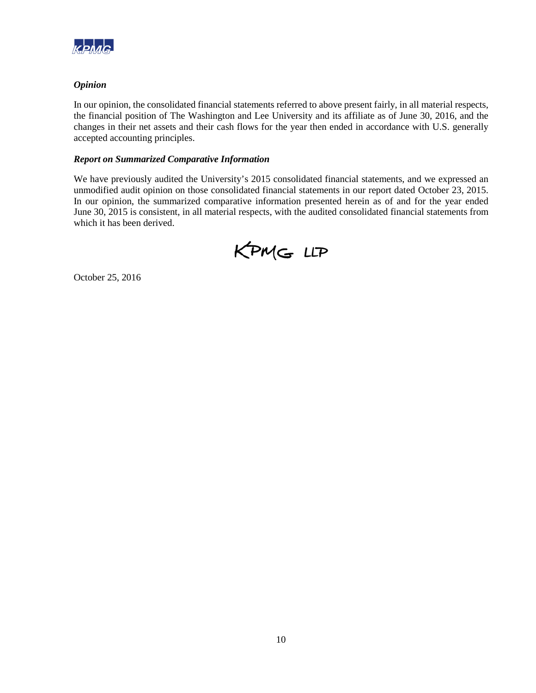

# *Opinion*

In our opinion, the consolidated financial statements referred to above present fairly, in all material respects, the financial position of The Washington and Lee University and its affiliate as of June 30, 2016, and the changes in their net assets and their cash flows for the year then ended in accordance with U.S. generally accepted accounting principles.

# *Report on Summarized Comparative Information*

We have previously audited the University's 2015 consolidated financial statements, and we expressed an unmodified audit opinion on those consolidated financial statements in our report dated October 23, 2015. In our opinion, the summarized comparative information presented herein as of and for the year ended June 30, 2015 is consistent, in all material respects, with the audited consolidated financial statements from which it has been derived.

KPMG LLP

October 25, 2016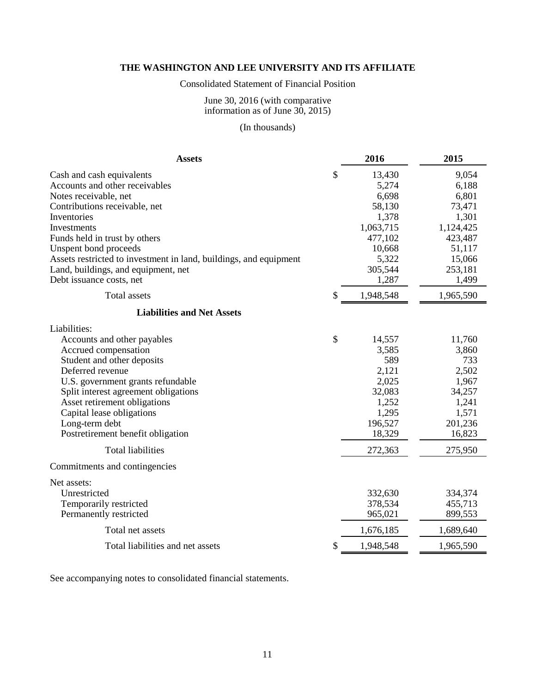# Consolidated Statement of Financial Position

#### June 30, 2016 (with comparative information as of June 30, 2015)

# (In thousands)

| <b>Assets</b>                                                     |               | 2016      | 2015      |
|-------------------------------------------------------------------|---------------|-----------|-----------|
| Cash and cash equivalents                                         | \$            | 13,430    | 9,054     |
| Accounts and other receivables                                    |               | 5,274     | 6,188     |
| Notes receivable, net                                             |               | 6,698     | 6,801     |
| Contributions receivable, net                                     |               | 58,130    | 73,471    |
| Inventories                                                       |               | 1,378     | 1,301     |
| Investments                                                       |               | 1,063,715 | 1,124,425 |
| Funds held in trust by others                                     |               | 477,102   | 423,487   |
| Unspent bond proceeds                                             |               | 10,668    | 51,117    |
| Assets restricted to investment in land, buildings, and equipment |               | 5,322     | 15,066    |
| Land, buildings, and equipment, net                               |               | 305,544   | 253,181   |
| Debt issuance costs, net                                          |               | 1,287     | 1,499     |
| <b>Total assets</b>                                               | \$            | 1,948,548 | 1,965,590 |
| <b>Liabilities and Net Assets</b>                                 |               |           |           |
| Liabilities:                                                      |               |           |           |
| Accounts and other payables                                       | $\mathcal{S}$ | 14,557    | 11,760    |
| Accrued compensation                                              |               | 3,585     | 3,860     |
| Student and other deposits                                        |               | 589       | 733       |
| Deferred revenue                                                  |               | 2,121     | 2,502     |
| U.S. government grants refundable                                 |               | 2,025     | 1,967     |
| Split interest agreement obligations                              |               | 32,083    | 34,257    |
| Asset retirement obligations                                      |               | 1,252     | 1,241     |
| Capital lease obligations                                         |               | 1,295     | 1,571     |
| Long-term debt                                                    |               | 196,527   | 201,236   |
| Postretirement benefit obligation                                 |               | 18,329    | 16,823    |
| <b>Total liabilities</b>                                          |               | 272,363   | 275,950   |
| Commitments and contingencies                                     |               |           |           |
| Net assets:                                                       |               |           |           |
| Unrestricted                                                      |               | 332,630   | 334,374   |
| Temporarily restricted                                            |               | 378,534   | 455,713   |
| Permanently restricted                                            |               | 965,021   | 899,553   |
| Total net assets                                                  |               | 1,676,185 | 1,689,640 |
| Total liabilities and net assets                                  | \$            | 1,948,548 | 1,965,590 |

See accompanying notes to consolidated financial statements.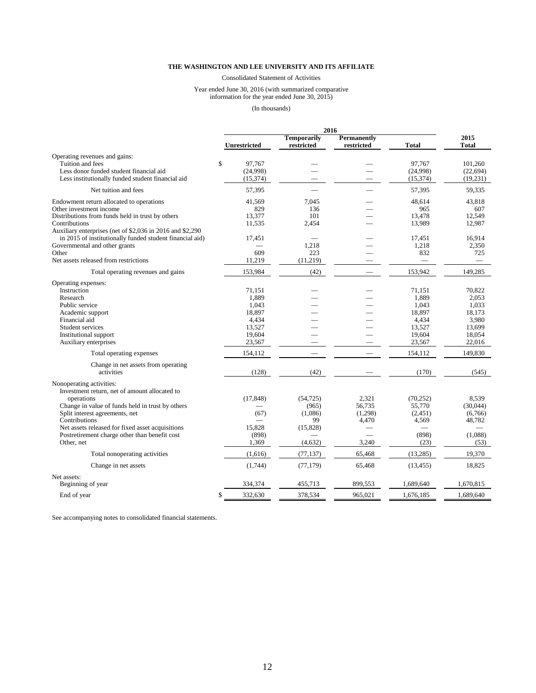Consolidated Statement of Activities

#### Year ended June 30, 2016 (with summarized comparative information for the year ended June 30, 2015)

(In thousands)

|                                                           |             |                     |                                  | 2016                      |           |                      |
|-----------------------------------------------------------|-------------|---------------------|----------------------------------|---------------------------|-----------|----------------------|
|                                                           |             | <b>Unrestricted</b> | <b>Temporarily</b><br>restricted | Permanently<br>restricted | Total     | 2015<br><b>Total</b> |
| Operating revenues and gains:                             |             |                     |                                  |                           |           |                      |
| Tuition and fees                                          | $\mathbf S$ | 97.767              |                                  |                           | 97.767    | 101.260              |
| Less donor funded student financial aid                   |             | (24,998)            |                                  |                           | (24,998)  | (22, 694)            |
| Less institutionally funded student financial aid         |             | (15, 374)           |                                  |                           | (15,374)  | (19, 231)            |
|                                                           |             |                     |                                  |                           |           |                      |
| Net tuition and fees                                      |             | 57,395              |                                  | $\overline{\phantom{0}}$  | 57,395    | 59,335               |
| Endowment return allocated to operations                  |             | 41,569              | 7.045                            |                           | 48,614    | 43,818               |
| Other investment income                                   |             | 829                 | 136                              |                           | 965       | 607                  |
| Distributions from funds held in trust by others          |             | 13,377              | 101                              |                           | 13,478    | 12,549               |
| Contributions                                             |             | 11,535              | 2,454                            |                           | 13,989    | 12,987               |
| Auxiliary enterprises (net of \$2,036 in 2016 and \$2,290 |             |                     |                                  |                           |           |                      |
| in 2015 of institutionally funded student financial aid)  |             | 17,451              |                                  |                           | 17,451    | 16,914               |
| Governmental and other grants                             |             |                     | 1,218                            |                           | 1,218     | 2,350                |
| Other                                                     |             | 609                 | 223                              |                           | 832       | 725                  |
| Net assets released from restrictions                     |             | 11,219              | (11,219)                         |                           |           |                      |
| Total operating revenues and gains                        |             | 153,984             | (42)                             |                           | 153,942   | 149,285              |
| Operating expenses:                                       |             |                     |                                  |                           |           |                      |
| Instruction                                               |             | 71.151              |                                  |                           | 71.151    | 70,822               |
| Research                                                  |             | 1,889               |                                  |                           | 1,889     | 2,053                |
| Public service                                            |             | 1,043               |                                  |                           | 1,043     | 1,033                |
| Academic support                                          |             | 18,897              |                                  |                           | 18,897    | 18,173               |
| Financial aid                                             |             | 4,434               |                                  |                           | 4,434     | 3,980                |
| Student services                                          |             | 13,527              |                                  |                           | 13,527    | 13,699               |
| Institutional support                                     |             | 19,604              |                                  |                           | 19,604    | 18,054               |
| Auxiliary enterprises                                     |             | 23,567              |                                  |                           | 23,567    | 22,016               |
| Total operating expenses                                  |             | 154,112             |                                  |                           | 154,112   | 149,830              |
|                                                           |             |                     |                                  |                           |           |                      |
| Change in net assets from operating                       |             |                     |                                  |                           |           |                      |
| activities                                                |             | (128)               | (42)                             |                           | (170)     | (545)                |
| Nonoperating activities:                                  |             |                     |                                  |                           |           |                      |
| Investment return, net of amount allocated to             |             |                     |                                  |                           |           |                      |
| operations                                                |             | (17, 848)           | (54, 725)                        | 2,321                     | (70, 252) | 8.539                |
| Change in value of funds held in trust by others          |             |                     | (965)                            | 56,735                    | 55,770    | (30,044)             |
| Split interest agreements, net                            |             | (67)                | (1,086)                          | (1,298)                   | (2,451)   | (6,766)              |
| Contributions                                             |             |                     | 99                               | 4,470                     | 4,569     | 48,782               |
| Net assets released for fixed asset acquisitions          |             | 15,828              | (15, 828)                        |                           |           |                      |
| Postretirement charge other than benefit cost             |             | (898)               |                                  |                           | (898)     | (1,088)              |
| Other, net                                                |             | 1,369               | (4,632)                          | 3,240                     | (23)      | (53)                 |
| Total nonoperating activities                             |             | (1,616)             | (77, 137)                        | 65,468                    | (13, 285) | 19,370               |
| Change in net assets                                      |             | (1,744)             | (77, 179)                        | 65,468                    | (13, 455) | 18,825               |
| Net assets:                                               |             |                     |                                  |                           |           |                      |
| Beginning of year                                         |             | 334,374             | 455,713                          | 899,553                   | 1,689,640 | 1,670,815            |
| End of year                                               | \$          | 332,630             | 378,534                          | 965.021                   | 1.676.185 | 1.689.640            |

See accompanying notes to consolidated financial statements.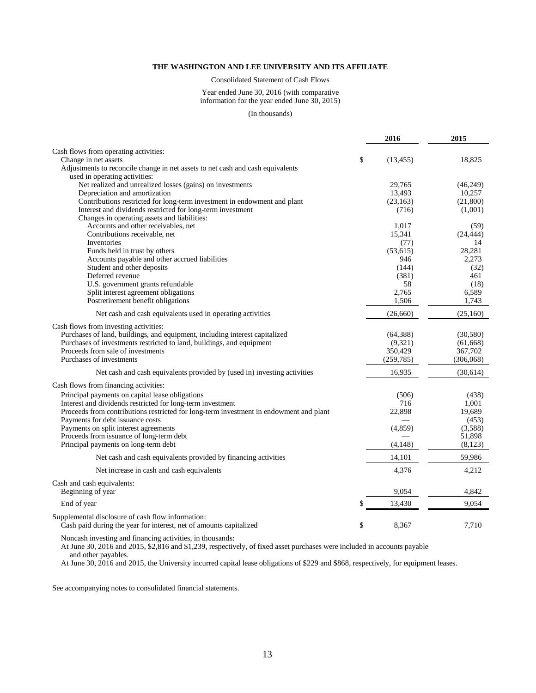Consolidated Statement of Cash Flows

Year ended June 30, 2016 (with comparative information for the year ended June 30, 2015)

(In thousands)

|                                                                                        | 2016            | 2015            |
|----------------------------------------------------------------------------------------|-----------------|-----------------|
| Cash flows from operating activities:                                                  |                 |                 |
| Change in net assets                                                                   | \$<br>(13, 455) | 18,825          |
| Adjustments to reconcile change in net assets to net cash and cash equivalents         |                 |                 |
| used in operating activities:                                                          |                 |                 |
| Net realized and unrealized losses (gains) on investments                              | 29,765          | (46,249)        |
| Depreciation and amortization                                                          | 13,493          | 10,257          |
| Contributions restricted for long-term investment in endowment and plant               | (23, 163)       | (21,800)        |
| Interest and dividends restricted for long-term investment                             | (716)           | (1,001)         |
| Changes in operating assets and liabilities:<br>Accounts and other receivables, net    |                 |                 |
| Contributions receivable, net                                                          | 1,017           | (59)            |
| Inventories                                                                            | 15,341<br>(77)  | (24, 444)<br>14 |
| Funds held in trust by others                                                          | (53, 615)       | 28,281          |
| Accounts payable and other accrued liabilities                                         | 946             | 2,273           |
| Student and other deposits                                                             | (144)           | (32)            |
| Deferred revenue                                                                       | (381)           | 461             |
| U.S. government grants refundable                                                      | 58              | (18)            |
| Split interest agreement obligations                                                   | 2,765           | 6,589           |
| Postretirement benefit obligations                                                     | 1,506           | 1,743           |
| Net cash and cash equivalents used in operating activities                             | (26,660)        | (25,160)        |
| Cash flows from investing activities:                                                  |                 |                 |
| Purchases of land, buildings, and equipment, including interest capitalized            | (64, 388)       | (30, 580)       |
| Purchases of investments restricted to land, buildings, and equipment                  | (9,321)         | (61, 668)       |
| Proceeds from sale of investments                                                      | 350,429         | 367,702         |
| Purchases of investments                                                               | (259, 785)      | (306,068)       |
|                                                                                        | 16,935          |                 |
| Net cash and cash equivalents provided by (used in) investing activities               |                 | (30,614)        |
| Cash flows from financing activities:                                                  |                 |                 |
| Principal payments on capital lease obligations                                        | (506)           | (438)           |
| Interest and dividends restricted for long-term investment                             | 716             | 1,001           |
| Proceeds from contributions restricted for long-term investment in endowment and plant | 22,898          | 19,689          |
| Payments for debt issuance costs                                                       |                 | (453)           |
| Payments on split interest agreements                                                  | (4, 859)        | (3,588)         |
| Proceeds from issuance of long-term debt                                               |                 | 51,898          |
| Principal payments on long-term debt                                                   | (4,148)         | (8,123)         |
| Net cash and cash equivalents provided by financing activities                         | 14,101          | 59,986          |
| Net increase in cash and cash equivalents                                              | 4,376           | 4,212           |
| Cash and cash equivalents:                                                             |                 |                 |
| Beginning of year                                                                      | 9,054           | 4,842           |
| End of year                                                                            | 13,430          | 9.054           |
| Supplemental disclosure of cash flow information:                                      |                 |                 |
| Cash paid during the year for interest, net of amounts capitalized                     | \$<br>8,367     | 7,710           |

Noncash investing and financing activities, in thousands:

At June 30, 2016 and 2015, \$2,816 and \$1,239, respectively, of fixed asset purchases were included in accounts payable

and other payables.

At June 30, 2016 and 2015, the University incurred capital lease obligations of \$229 and \$868, respectively, for equipment leases.

See accompanying notes to consolidated financial statements.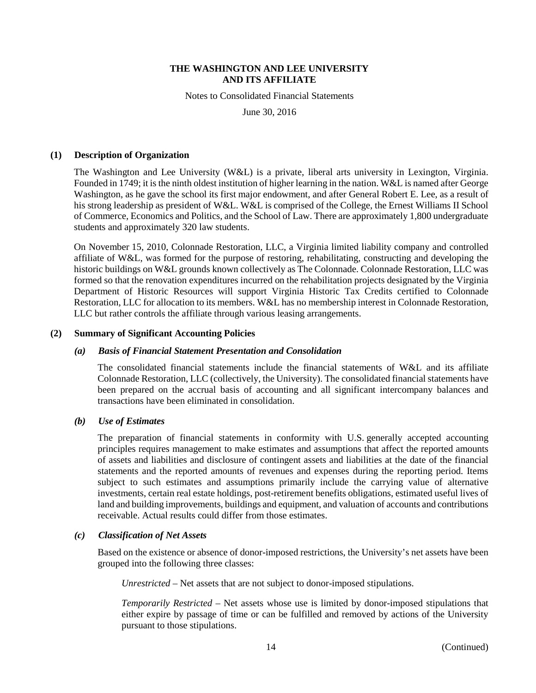Notes to Consolidated Financial Statements

June 30, 2016

#### **(1) Description of Organization**

The Washington and Lee University (W&L) is a private, liberal arts university in Lexington, Virginia. Founded in 1749; it is the ninth oldest institution of higher learning in the nation. W&L is named after George Washington, as he gave the school its first major endowment, and after General Robert E. Lee, as a result of his strong leadership as president of W&L. W&L is comprised of the College, the Ernest Williams II School of Commerce, Economics and Politics, and the School of Law. There are approximately 1,800 undergraduate students and approximately 320 law students.

On November 15, 2010, Colonnade Restoration, LLC, a Virginia limited liability company and controlled affiliate of W&L, was formed for the purpose of restoring, rehabilitating, constructing and developing the historic buildings on W&L grounds known collectively as The Colonnade. Colonnade Restoration, LLC was formed so that the renovation expenditures incurred on the rehabilitation projects designated by the Virginia Department of Historic Resources will support Virginia Historic Tax Credits certified to Colonnade Restoration, LLC for allocation to its members. W&L has no membership interest in Colonnade Restoration, LLC but rather controls the affiliate through various leasing arrangements.

#### **(2) Summary of Significant Accounting Policies**

#### *(a) Basis of Financial Statement Presentation and Consolidation*

The consolidated financial statements include the financial statements of W&L and its affiliate Colonnade Restoration, LLC (collectively, the University). The consolidated financial statements have been prepared on the accrual basis of accounting and all significant intercompany balances and transactions have been eliminated in consolidation.

# *(b) Use of Estimates*

The preparation of financial statements in conformity with U.S. generally accepted accounting principles requires management to make estimates and assumptions that affect the reported amounts of assets and liabilities and disclosure of contingent assets and liabilities at the date of the financial statements and the reported amounts of revenues and expenses during the reporting period. Items subject to such estimates and assumptions primarily include the carrying value of alternative investments, certain real estate holdings, post-retirement benefits obligations, estimated useful lives of land and building improvements, buildings and equipment, and valuation of accounts and contributions receivable. Actual results could differ from those estimates.

#### *(c) Classification of Net Assets*

Based on the existence or absence of donor-imposed restrictions, the University's net assets have been grouped into the following three classes:

*Unrestricted* – Net assets that are not subject to donor-imposed stipulations.

*Temporarily Restricted* – Net assets whose use is limited by donor-imposed stipulations that either expire by passage of time or can be fulfilled and removed by actions of the University pursuant to those stipulations.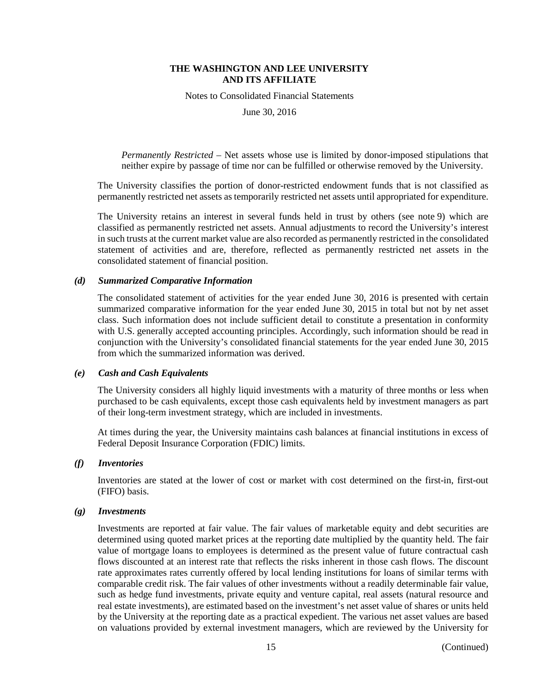Notes to Consolidated Financial Statements

June 30, 2016

*Permanently Restricted* – Net assets whose use is limited by donor-imposed stipulations that neither expire by passage of time nor can be fulfilled or otherwise removed by the University.

The University classifies the portion of donor-restricted endowment funds that is not classified as permanently restricted net assets as temporarily restricted net assets until appropriated for expenditure.

The University retains an interest in several funds held in trust by others (see note 9) which are classified as permanently restricted net assets. Annual adjustments to record the University's interest in such trusts at the current market value are also recorded as permanently restricted in the consolidated statement of activities and are, therefore, reflected as permanently restricted net assets in the consolidated statement of financial position.

# *(d) Summarized Comparative Information*

The consolidated statement of activities for the year ended June 30, 2016 is presented with certain summarized comparative information for the year ended June 30, 2015 in total but not by net asset class. Such information does not include sufficient detail to constitute a presentation in conformity with U.S. generally accepted accounting principles. Accordingly, such information should be read in conjunction with the University's consolidated financial statements for the year ended June 30, 2015 from which the summarized information was derived.

#### *(e) Cash and Cash Equivalents*

The University considers all highly liquid investments with a maturity of three months or less when purchased to be cash equivalents, except those cash equivalents held by investment managers as part of their long-term investment strategy, which are included in investments.

At times during the year, the University maintains cash balances at financial institutions in excess of Federal Deposit Insurance Corporation (FDIC) limits.

#### *(f) Inventories*

Inventories are stated at the lower of cost or market with cost determined on the first-in, first-out (FIFO) basis.

#### *(g) Investments*

Investments are reported at fair value. The fair values of marketable equity and debt securities are determined using quoted market prices at the reporting date multiplied by the quantity held. The fair value of mortgage loans to employees is determined as the present value of future contractual cash flows discounted at an interest rate that reflects the risks inherent in those cash flows. The discount rate approximates rates currently offered by local lending institutions for loans of similar terms with comparable credit risk. The fair values of other investments without a readily determinable fair value, such as hedge fund investments, private equity and venture capital, real assets (natural resource and real estate investments), are estimated based on the investment's net asset value of shares or units held by the University at the reporting date as a practical expedient. The various net asset values are based on valuations provided by external investment managers, which are reviewed by the University for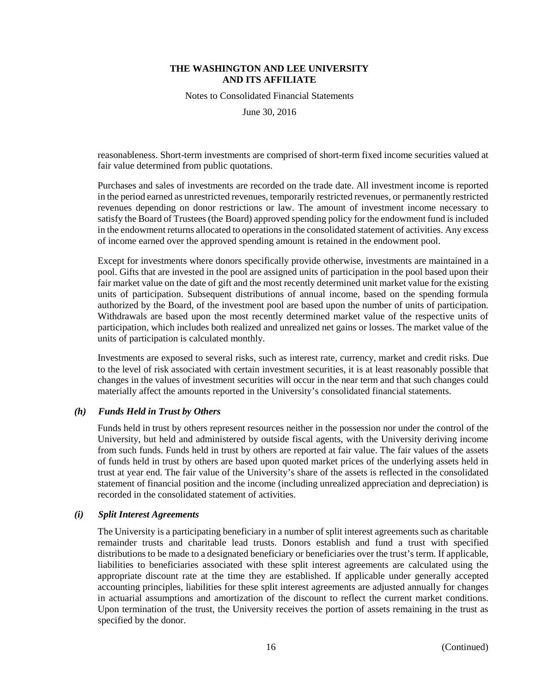Notes to Consolidated Financial Statements

June 30, 2016

reasonableness. Short-term investments are comprised of short-term fixed income securities valued at fair value determined from public quotations.

Purchases and sales of investments are recorded on the trade date. All investment income is reported in the period earned as unrestricted revenues, temporarily restricted revenues, or permanently restricted revenues depending on donor restrictions or law. The amount of investment income necessary to satisfy the Board of Trustees (the Board) approved spending policy for the endowment fund is included in the endowment returns allocated to operations in the consolidated statement of activities. Any excess of income earned over the approved spending amount is retained in the endowment pool.

Except for investments where donors specifically provide otherwise, investments are maintained in a pool. Gifts that are invested in the pool are assigned units of participation in the pool based upon their fair market value on the date of gift and the most recently determined unit market value for the existing units of participation. Subsequent distributions of annual income, based on the spending formula authorized by the Board, of the investment pool are based upon the number of units of participation. Withdrawals are based upon the most recently determined market value of the respective units of participation, which includes both realized and unrealized net gains or losses. The market value of the units of participation is calculated monthly.

Investments are exposed to several risks, such as interest rate, currency, market and credit risks. Due to the level of risk associated with certain investment securities, it is at least reasonably possible that changes in the values of investment securities will occur in the near term and that such changes could materially affect the amounts reported in the University's consolidated financial statements.

#### *(h) Funds Held in Trust by Others*

Funds held in trust by others represent resources neither in the possession nor under the control of the University, but held and administered by outside fiscal agents, with the University deriving income from such funds. Funds held in trust by others are reported at fair value. The fair values of the assets of funds held in trust by others are based upon quoted market prices of the underlying assets held in trust at year end. The fair value of the University's share of the assets is reflected in the consolidated statement of financial position and the income (including unrealized appreciation and depreciation) is recorded in the consolidated statement of activities.

#### *(i) Split Interest Agreements*

The University is a participating beneficiary in a number of split interest agreements such as charitable remainder trusts and charitable lead trusts. Donors establish and fund a trust with specified distributions to be made to a designated beneficiary or beneficiaries over the trust's term. If applicable, liabilities to beneficiaries associated with these split interest agreements are calculated using the appropriate discount rate at the time they are established. If applicable under generally accepted accounting principles, liabilities for these split interest agreements are adjusted annually for changes in actuarial assumptions and amortization of the discount to reflect the current market conditions. Upon termination of the trust, the University receives the portion of assets remaining in the trust as specified by the donor.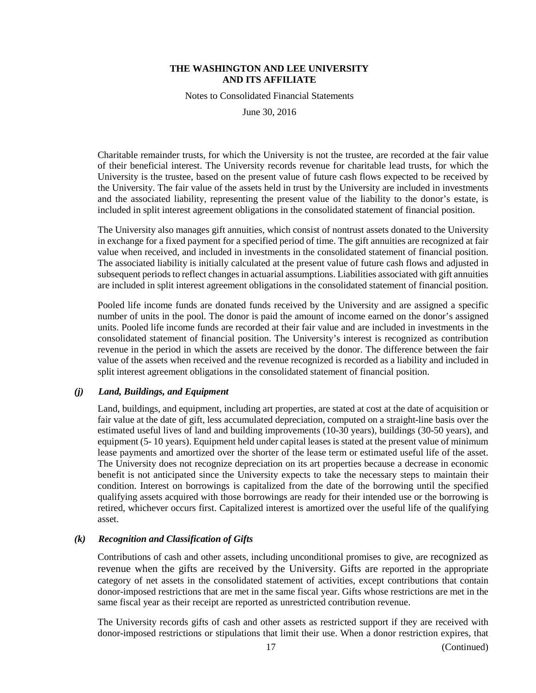Notes to Consolidated Financial Statements

June 30, 2016

Charitable remainder trusts, for which the University is not the trustee, are recorded at the fair value of their beneficial interest. The University records revenue for charitable lead trusts, for which the University is the trustee, based on the present value of future cash flows expected to be received by the University. The fair value of the assets held in trust by the University are included in investments and the associated liability, representing the present value of the liability to the donor's estate, is included in split interest agreement obligations in the consolidated statement of financial position.

The University also manages gift annuities, which consist of nontrust assets donated to the University in exchange for a fixed payment for a specified period of time. The gift annuities are recognized at fair value when received, and included in investments in the consolidated statement of financial position. The associated liability is initially calculated at the present value of future cash flows and adjusted in subsequent periods to reflect changes in actuarial assumptions. Liabilities associated with gift annuities are included in split interest agreement obligations in the consolidated statement of financial position.

Pooled life income funds are donated funds received by the University and are assigned a specific number of units in the pool. The donor is paid the amount of income earned on the donor's assigned units. Pooled life income funds are recorded at their fair value and are included in investments in the consolidated statement of financial position. The University's interest is recognized as contribution revenue in the period in which the assets are received by the donor. The difference between the fair value of the assets when received and the revenue recognized is recorded as a liability and included in split interest agreement obligations in the consolidated statement of financial position.

#### *(j) Land, Buildings, and Equipment*

Land, buildings, and equipment, including art properties, are stated at cost at the date of acquisition or fair value at the date of gift, less accumulated depreciation, computed on a straight-line basis over the estimated useful lives of land and building improvements (10-30 years), buildings (30-50 years), and equipment (5- 10 years). Equipment held under capital leases is stated at the present value of minimum lease payments and amortized over the shorter of the lease term or estimated useful life of the asset. The University does not recognize depreciation on its art properties because a decrease in economic benefit is not anticipated since the University expects to take the necessary steps to maintain their condition. Interest on borrowings is capitalized from the date of the borrowing until the specified qualifying assets acquired with those borrowings are ready for their intended use or the borrowing is retired, whichever occurs first. Capitalized interest is amortized over the useful life of the qualifying asset.

# *(k) Recognition and Classification of Gifts*

Contributions of cash and other assets, including unconditional promises to give, are recognized as revenue when the gifts are received by the University. Gifts are reported in the appropriate category of net assets in the consolidated statement of activities, except contributions that contain donor-imposed restrictions that are met in the same fiscal year. Gifts whose restrictions are met in the same fiscal year as their receipt are reported as unrestricted contribution revenue.

The University records gifts of cash and other assets as restricted support if they are received with donor-imposed restrictions or stipulations that limit their use. When a donor restriction expires, that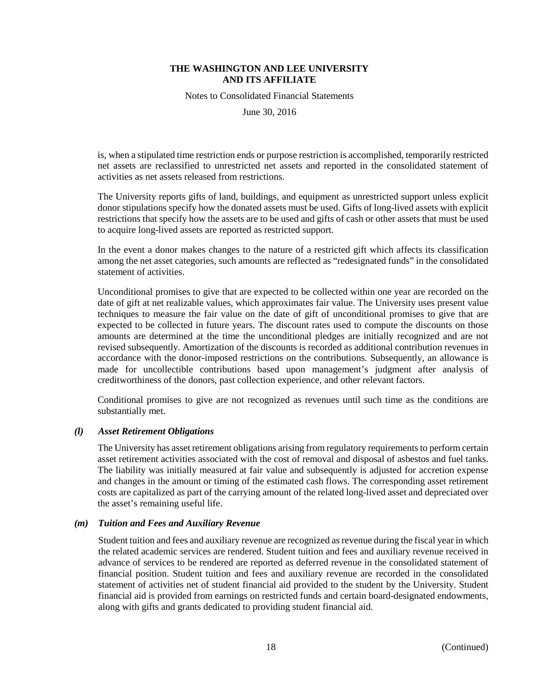Notes to Consolidated Financial Statements

June 30, 2016

is, when a stipulated time restriction ends or purpose restriction is accomplished, temporarily restricted net assets are reclassified to unrestricted net assets and reported in the consolidated statement of activities as net assets released from restrictions.

The University reports gifts of land, buildings, and equipment as unrestricted support unless explicit donor stipulations specify how the donated assets must be used. Gifts of long-lived assets with explicit restrictions that specify how the assets are to be used and gifts of cash or other assets that must be used to acquire long-lived assets are reported as restricted support.

In the event a donor makes changes to the nature of a restricted gift which affects its classification among the net asset categories, such amounts are reflected as "redesignated funds" in the consolidated statement of activities.

Unconditional promises to give that are expected to be collected within one year are recorded on the date of gift at net realizable values, which approximates fair value. The University uses present value techniques to measure the fair value on the date of gift of unconditional promises to give that are expected to be collected in future years. The discount rates used to compute the discounts on those amounts are determined at the time the unconditional pledges are initially recognized and are not revised subsequently. Amortization of the discounts is recorded as additional contribution revenues in accordance with the donor-imposed restrictions on the contributions. Subsequently, an allowance is made for uncollectible contributions based upon management's judgment after analysis of creditworthiness of the donors, past collection experience, and other relevant factors.

Conditional promises to give are not recognized as revenues until such time as the conditions are substantially met.

#### *(l) Asset Retirement Obligations*

The University has asset retirement obligations arising from regulatory requirements to perform certain asset retirement activities associated with the cost of removal and disposal of asbestos and fuel tanks. The liability was initially measured at fair value and subsequently is adjusted for accretion expense and changes in the amount or timing of the estimated cash flows. The corresponding asset retirement costs are capitalized as part of the carrying amount of the related long-lived asset and depreciated over the asset's remaining useful life.

#### *(m) Tuition and Fees and Auxiliary Revenue*

Student tuition and fees and auxiliary revenue are recognized as revenue during the fiscal year in which the related academic services are rendered. Student tuition and fees and auxiliary revenue received in advance of services to be rendered are reported as deferred revenue in the consolidated statement of financial position. Student tuition and fees and auxiliary revenue are recorded in the consolidated statement of activities net of student financial aid provided to the student by the University. Student financial aid is provided from earnings on restricted funds and certain board-designated endowments, along with gifts and grants dedicated to providing student financial aid.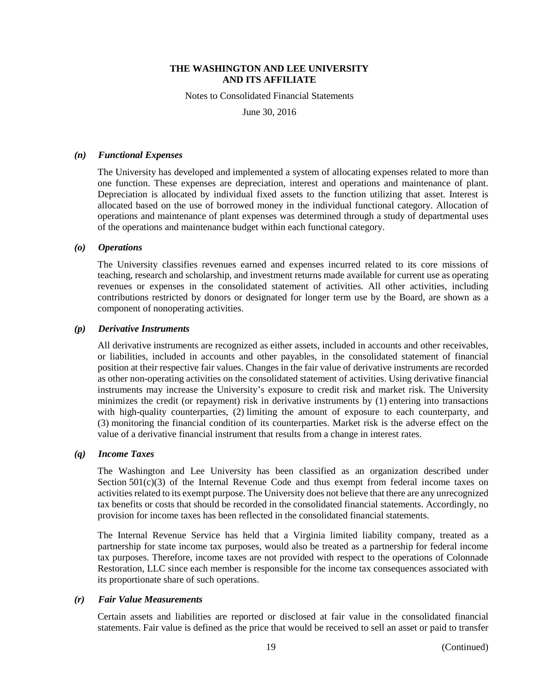Notes to Consolidated Financial Statements

June 30, 2016

## *(n) Functional Expenses*

The University has developed and implemented a system of allocating expenses related to more than one function. These expenses are depreciation, interest and operations and maintenance of plant. Depreciation is allocated by individual fixed assets to the function utilizing that asset. Interest is allocated based on the use of borrowed money in the individual functional category. Allocation of operations and maintenance of plant expenses was determined through a study of departmental uses of the operations and maintenance budget within each functional category.

# *(o) Operations*

The University classifies revenues earned and expenses incurred related to its core missions of teaching, research and scholarship, and investment returns made available for current use as operating revenues or expenses in the consolidated statement of activities. All other activities, including contributions restricted by donors or designated for longer term use by the Board, are shown as a component of nonoperating activities.

# *(p) Derivative Instruments*

All derivative instruments are recognized as either assets, included in accounts and other receivables, or liabilities, included in accounts and other payables, in the consolidated statement of financial position at their respective fair values. Changes in the fair value of derivative instruments are recorded as other non-operating activities on the consolidated statement of activities. Using derivative financial instruments may increase the University's exposure to credit risk and market risk. The University minimizes the credit (or repayment) risk in derivative instruments by (1) entering into transactions with high-quality counterparties, (2) limiting the amount of exposure to each counterparty, and (3) monitoring the financial condition of its counterparties. Market risk is the adverse effect on the value of a derivative financial instrument that results from a change in interest rates.

#### *(q) Income Taxes*

The Washington and Lee University has been classified as an organization described under Section  $501(c)(3)$  of the Internal Revenue Code and thus exempt from federal income taxes on activities related to its exempt purpose. The University does not believe that there are any unrecognized tax benefits or costs that should be recorded in the consolidated financial statements. Accordingly, no provision for income taxes has been reflected in the consolidated financial statements.

The Internal Revenue Service has held that a Virginia limited liability company, treated as a partnership for state income tax purposes, would also be treated as a partnership for federal income tax purposes. Therefore, income taxes are not provided with respect to the operations of Colonnade Restoration, LLC since each member is responsible for the income tax consequences associated with its proportionate share of such operations.

#### *(r) Fair Value Measurements*

Certain assets and liabilities are reported or disclosed at fair value in the consolidated financial statements. Fair value is defined as the price that would be received to sell an asset or paid to transfer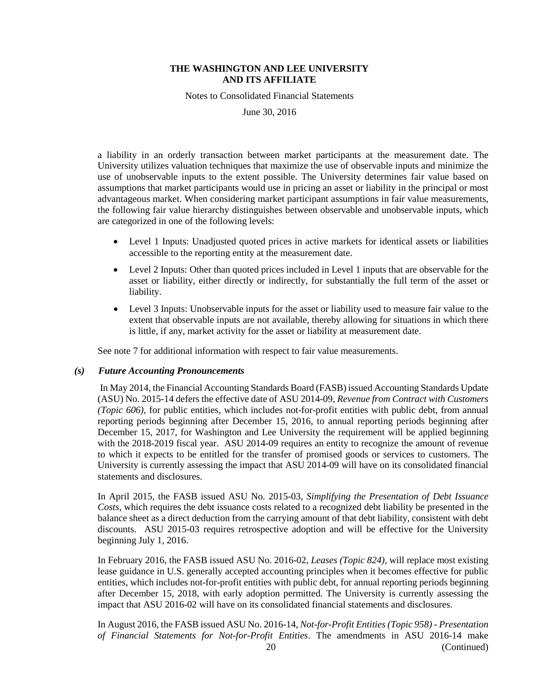Notes to Consolidated Financial Statements

June 30, 2016

a liability in an orderly transaction between market participants at the measurement date. The University utilizes valuation techniques that maximize the use of observable inputs and minimize the use of unobservable inputs to the extent possible. The University determines fair value based on assumptions that market participants would use in pricing an asset or liability in the principal or most advantageous market. When considering market participant assumptions in fair value measurements, the following fair value hierarchy distinguishes between observable and unobservable inputs, which are categorized in one of the following levels:

- Level 1 Inputs: Unadjusted quoted prices in active markets for identical assets or liabilities accessible to the reporting entity at the measurement date.
- Level 2 Inputs: Other than quoted prices included in Level 1 inputs that are observable for the asset or liability, either directly or indirectly, for substantially the full term of the asset or liability.
- Level 3 Inputs: Unobservable inputs for the asset or liability used to measure fair value to the extent that observable inputs are not available, thereby allowing for situations in which there is little, if any, market activity for the asset or liability at measurement date.

See note 7 for additional information with respect to fair value measurements.

#### *(s) Future Accounting Pronouncements*

In May 2014, the Financial Accounting Standards Board (FASB) issued Accounting Standards Update (ASU) No. 2015-14 defers the effective date of ASU 2014-09, *Revenue from Contract with Customers (Topic 606)*, for public entities, which includes not-for-profit entities with public debt, from annual reporting periods beginning after December 15, 2016, to annual reporting periods beginning after December 15, 2017, for Washington and Lee University the requirement will be applied beginning with the 2018-2019 fiscal year. ASU 2014-09 requires an entity to recognize the amount of revenue to which it expects to be entitled for the transfer of promised goods or services to customers. The University is currently assessing the impact that ASU 2014-09 will have on its consolidated financial statements and disclosures.

In April 2015, the FASB issued ASU No. 2015-03, *Simplifying the Presentation of Debt Issuance Costs*, which requires the debt issuance costs related to a recognized debt liability be presented in the balance sheet as a direct deduction from the carrying amount of that debt liability, consistent with debt discounts. ASU 2015-03 requires retrospective adoption and will be effective for the University beginning July 1, 2016.

In February 2016, the FASB issued ASU No. 2016-02, *Leases (Topic 824)*, will replace most existing lease guidance in U.S. generally accepted accounting principles when it becomes effective for public entities, which includes not-for-profit entities with public debt, for annual reporting periods beginning after December 15, 2018, with early adoption permitted. The University is currently assessing the impact that ASU 2016-02 will have on its consolidated financial statements and disclosures.

20 (Continued) In August 2016, the FASB issued ASU No. 2016-14, *Not-for-Profit Entities (Topic 958) - Presentation of Financial Statements for Not-for-Profit Entities*. The amendments in ASU 2016-14 make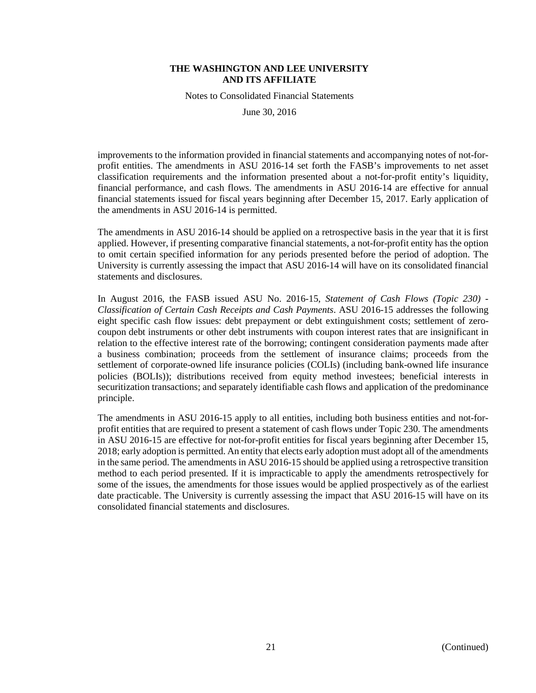Notes to Consolidated Financial Statements

June 30, 2016

improvements to the information provided in financial statements and accompanying notes of not-forprofit entities. The amendments in ASU 2016-14 set forth the FASB's improvements to net asset classification requirements and the information presented about a not-for-profit entity's liquidity, financial performance, and cash flows. The amendments in ASU 2016-14 are effective for annual financial statements issued for fiscal years beginning after December 15, 2017. Early application of the amendments in ASU 2016-14 is permitted.

The amendments in ASU 2016-14 should be applied on a retrospective basis in the year that it is first applied. However, if presenting comparative financial statements, a not-for-profit entity has the option to omit certain specified information for any periods presented before the period of adoption. The University is currently assessing the impact that ASU 2016-14 will have on its consolidated financial statements and disclosures.

In August 2016, the FASB issued ASU No. 2016-15, *Statement of Cash Flows (Topic 230) - Classification of Certain Cash Receipts and Cash Payments*. ASU 2016-15 addresses the following eight specific cash flow issues: debt prepayment or debt extinguishment costs; settlement of zerocoupon debt instruments or other debt instruments with coupon interest rates that are insignificant in relation to the effective interest rate of the borrowing; contingent consideration payments made after a business combination; proceeds from the settlement of insurance claims; proceeds from the settlement of corporate-owned life insurance policies (COLIs) (including bank-owned life insurance policies (BOLIs)); distributions received from equity method investees; beneficial interests in securitization transactions; and separately identifiable cash flows and application of the predominance principle.

The amendments in ASU 2016-15 apply to all entities, including both business entities and not-forprofit entities that are required to present a statement of cash flows under Topic 230. The amendments in ASU 2016-15 are effective for not-for-profit entities for fiscal years beginning after December 15, 2018; early adoption is permitted. An entity that elects early adoption must adopt all of the amendments in the same period. The amendments in ASU 2016-15 should be applied using a retrospective transition method to each period presented. If it is impracticable to apply the amendments retrospectively for some of the issues, the amendments for those issues would be applied prospectively as of the earliest date practicable. The University is currently assessing the impact that ASU 2016-15 will have on its consolidated financial statements and disclosures.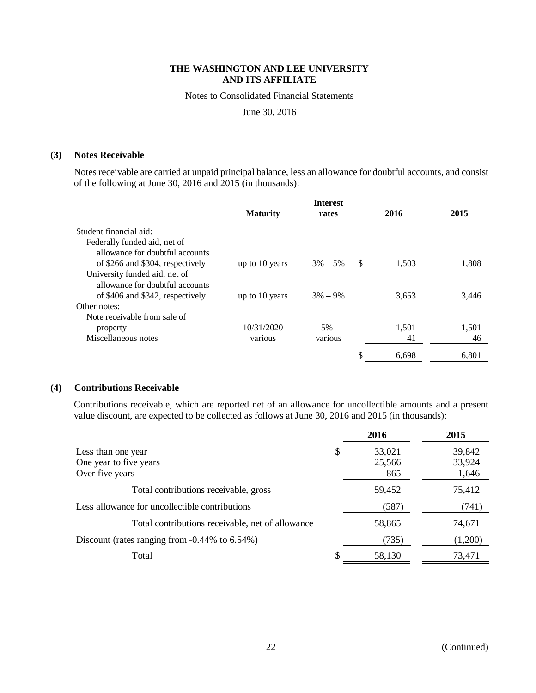Notes to Consolidated Financial Statements

June 30, 2016

#### **(3) Notes Receivable**

Notes receivable are carried at unpaid principal balance, less an allowance for doubtful accounts, and consist of the following at June 30, 2016 and 2015 (in thousands):

|                                  |                 | <b>Interest</b> |    |       |       |
|----------------------------------|-----------------|-----------------|----|-------|-------|
|                                  | <b>Maturity</b> | rates           |    | 2016  | 2015  |
| Student financial aid:           |                 |                 |    |       |       |
| Federally funded aid, net of     |                 |                 |    |       |       |
| allowance for doubtful accounts  |                 |                 |    |       |       |
| of \$266 and \$304, respectively | up to 10 years  | $3\% - 5\%$     | -S | 1,503 | 1,808 |
| University funded aid, net of    |                 |                 |    |       |       |
| allowance for doubtful accounts  |                 |                 |    |       |       |
| of \$406 and \$342, respectively | up to 10 years  | $3\% - 9\%$     |    | 3,653 | 3,446 |
| Other notes:                     |                 |                 |    |       |       |
| Note receivable from sale of     |                 |                 |    |       |       |
| property                         | 10/31/2020      | 5%              |    | 1.501 | 1,501 |
| Miscellaneous notes              | various         | various         |    | 41    | 46    |
|                                  |                 |                 | \$ | 6.698 | 6.801 |

# **(4) Contributions Receivable**

Contributions receivable, which are reported net of an allowance for uncollectible amounts and a present value discount, are expected to be collected as follows at June 30, 2016 and 2015 (in thousands):

|                                                                 |  | 2016                    | 2015                      |
|-----------------------------------------------------------------|--|-------------------------|---------------------------|
| Less than one year<br>One year to five years<br>Over five years |  | 33,021<br>25,566<br>865 | 39,842<br>33,924<br>1,646 |
| Total contributions receivable, gross                           |  | 59,452                  | 75,412                    |
| Less allowance for uncollectible contributions                  |  | (587)                   | (741)                     |
| Total contributions receivable, net of allowance                |  | 58,865                  | 74,671                    |
| Discount (rates ranging from $-0.44\%$ to 6.54%)                |  | (735)                   | (1,200)                   |
| Total                                                           |  | 58,130                  | 73,471                    |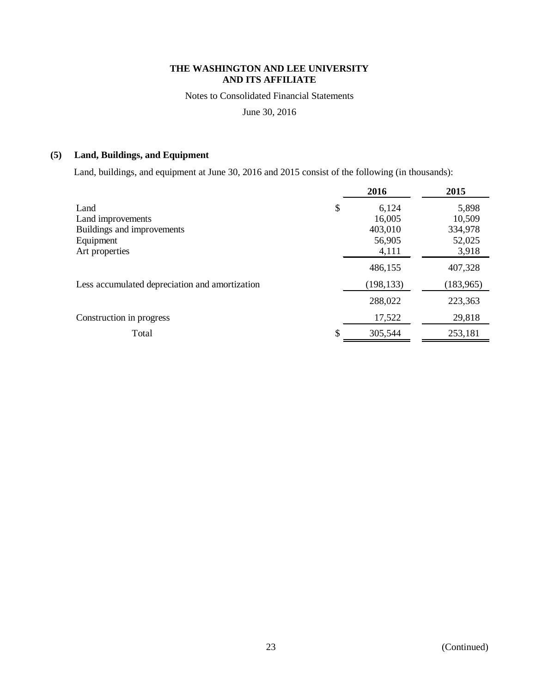Notes to Consolidated Financial Statements

June 30, 2016

# **(5) Land, Buildings, and Equipment**

Land, buildings, and equipment at June 30, 2016 and 2015 consist of the following (in thousands):

|                                                | 2016          | 2015       |
|------------------------------------------------|---------------|------------|
| Land                                           | \$<br>6,124   | 5,898      |
| Land improvements                              | 16,005        | 10,509     |
| Buildings and improvements                     | 403,010       | 334,978    |
| Equipment                                      | 56,905        | 52,025     |
| Art properties                                 | 4,111         | 3,918      |
|                                                | 486,155       | 407,328    |
| Less accumulated depreciation and amortization | (198, 133)    | (183, 965) |
|                                                | 288,022       | 223,363    |
| Construction in progress                       | 17,522        | 29,818     |
| Total                                          | \$<br>305,544 | 253,181    |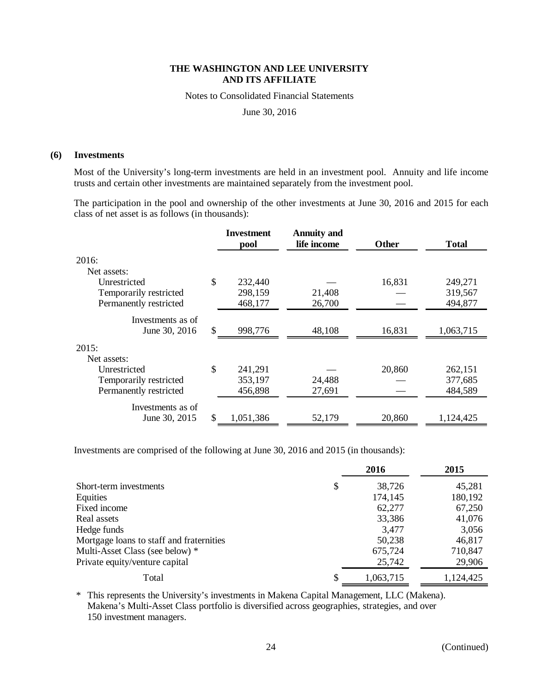Notes to Consolidated Financial Statements

June 30, 2016

#### **(6) Investments**

Most of the University's long-term investments are held in an investment pool. Annuity and life income trusts and certain other investments are maintained separately from the investment pool.

The participation in the pool and ownership of the other investments at June 30, 2016 and 2015 for each class of net asset is as follows (in thousands):

|                        | <b>Investment</b><br>pool | <b>Annuity and</b><br>life income | <b>Other</b> | <b>Total</b> |
|------------------------|---------------------------|-----------------------------------|--------------|--------------|
| 2016:                  |                           |                                   |              |              |
| Net assets:            |                           |                                   |              |              |
| Unrestricted           | \$<br>232,440             |                                   | 16,831       | 249,271      |
| Temporarily restricted | 298,159                   | 21,408                            |              | 319,567      |
| Permanently restricted | 468,177                   | 26,700                            |              | 494,877      |
| Investments as of      |                           |                                   |              |              |
| June 30, 2016          | \$<br>998,776             | 48,108                            | 16,831       | 1,063,715    |
| 2015:                  |                           |                                   |              |              |
| Net assets:            |                           |                                   |              |              |
| Unrestricted           | \$<br>241,291             |                                   | 20,860       | 262,151      |
| Temporarily restricted | 353,197                   | 24,488                            |              | 377,685      |
| Permanently restricted | 456,898                   | 27,691                            |              | 484,589      |
| Investments as of      |                           |                                   |              |              |
| June 30, 2015          | \$<br>1,051,386           | 52,179                            | 20,860       | 1,124,425    |

Investments are comprised of the following at June 30, 2016 and 2015 (in thousands):

|                                          | 2016         | 2015      |
|------------------------------------------|--------------|-----------|
| Short-term investments                   | \$<br>38,726 | 45,281    |
| Equities                                 | 174,145      | 180,192   |
| Fixed income                             | 62,277       | 67,250    |
| Real assets                              | 33,386       | 41,076    |
| Hedge funds                              | 3,477        | 3,056     |
| Mortgage loans to staff and fraternities | 50,238       | 46,817    |
| Multi-Asset Class (see below) *          | 675,724      | 710,847   |
| Private equity/venture capital           | 25,742       | 29,906    |
| Total                                    | 1,063,715    | 1,124,425 |

\* This represents the University's investments in Makena Capital Management, LLC (Makena). Makena's Multi-Asset Class portfolio is diversified across geographies, strategies, and over 150 investment managers.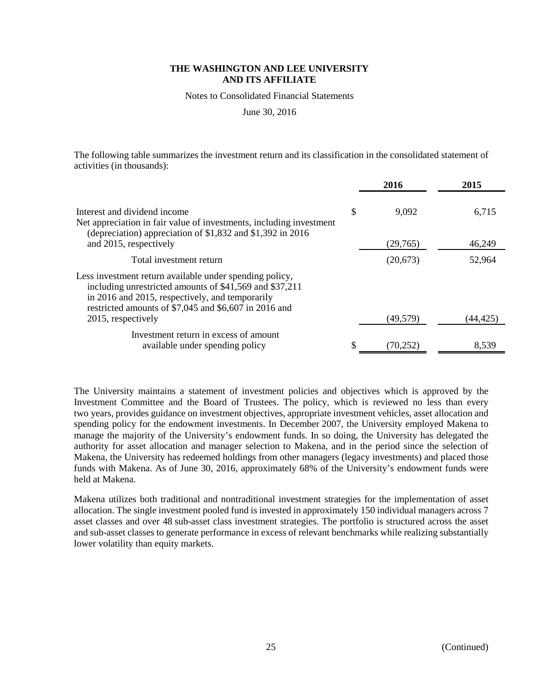Notes to Consolidated Financial Statements

June 30, 2016

The following table summarizes the investment return and its classification in the consolidated statement of activities (in thousands):

|                                                                                                                                                                                                                                                      | 2016            | 2015     |
|------------------------------------------------------------------------------------------------------------------------------------------------------------------------------------------------------------------------------------------------------|-----------------|----------|
| Interest and dividend income<br>Net appreciation in fair value of investments, including investment<br>(depreciation) appreciation of \$1,832 and \$1,392 in 2016                                                                                    | \$<br>9,092     | 6,715    |
| and 2015, respectively                                                                                                                                                                                                                               | (29,765)        | 46,249   |
| Total investment return                                                                                                                                                                                                                              | (20,673)        | 52,964   |
| Less investment return available under spending policy,<br>including unrestricted amounts of \$41,569 and \$37,211<br>in 2016 and 2015, respectively, and temporarily<br>restricted amounts of \$7,045 and \$6,607 in 2016 and<br>2015, respectively | (49, 579)       | (44,425) |
|                                                                                                                                                                                                                                                      |                 |          |
| Investment return in excess of amount<br>available under spending policy                                                                                                                                                                             | \$<br>(70, 252) | 8,539    |

The University maintains a statement of investment policies and objectives which is approved by the Investment Committee and the Board of Trustees. The policy, which is reviewed no less than every two years, provides guidance on investment objectives, appropriate investment vehicles, asset allocation and spending policy for the endowment investments. In December 2007, the University employed Makena to manage the majority of the University's endowment funds. In so doing, the University has delegated the authority for asset allocation and manager selection to Makena, and in the period since the selection of Makena, the University has redeemed holdings from other managers (legacy investments) and placed those funds with Makena. As of June 30, 2016, approximately 68% of the University's endowment funds were held at Makena.

Makena utilizes both traditional and nontraditional investment strategies for the implementation of asset allocation. The single investment pooled fund is invested in approximately 150 individual managers across 7 asset classes and over 48 sub-asset class investment strategies. The portfolio is structured across the asset and sub-asset classes to generate performance in excess of relevant benchmarks while realizing substantially lower volatility than equity markets.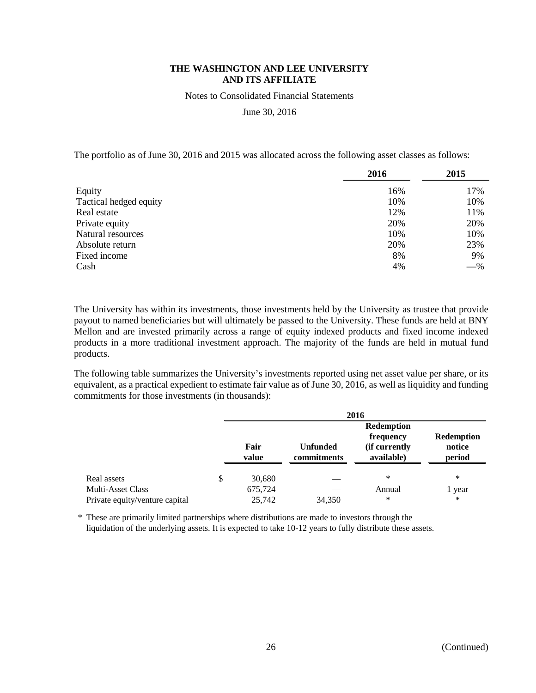Notes to Consolidated Financial Statements

June 30, 2016

The portfolio as of June 30, 2016 and 2015 was allocated across the following asset classes as follows:

|                        | 2016 | 2015  |
|------------------------|------|-------|
| Equity                 | 16%  | 17%   |
| Tactical hedged equity | 10%  | 10%   |
| Real estate            | 12%  | 11%   |
| Private equity         | 20%  | 20%   |
| Natural resources      | 10%  | 10%   |
| Absolute return        | 20%  | 23%   |
| Fixed income           | 8%   | 9%    |
| Cash                   | 4%   | $-$ % |

The University has within its investments, those investments held by the University as trustee that provide payout to named beneficiaries but will ultimately be passed to the University. These funds are held at BNY Mellon and are invested primarily across a range of equity indexed products and fixed income indexed products in a more traditional investment approach. The majority of the funds are held in mutual fund products.

The following table summarizes the University's investments reported using net asset value per share, or its equivalent, as a practical expedient to estimate fair value as of June 30, 2016, as well as liquidity and funding commitments for those investments (in thousands):

|                                | 2016          |                                |                                                               |                                       |  |  |
|--------------------------------|---------------|--------------------------------|---------------------------------------------------------------|---------------------------------------|--|--|
|                                | Fair<br>value | <b>Unfunded</b><br>commitments | <b>Redemption</b><br>frequency<br>(if currently<br>available) | <b>Redemption</b><br>notice<br>period |  |  |
| Real assets                    | \$<br>30,680  |                                | ∗                                                             | $\ast$                                |  |  |
| <b>Multi-Asset Class</b>       | 675,724       |                                | Annual                                                        | l year                                |  |  |
| Private equity/venture capital | 25,742        | 34,350                         | $\ast$                                                        | $\ast$                                |  |  |

\* These are primarily limited partnerships where distributions are made to investors through the liquidation of the underlying assets. It is expected to take 10-12 years to fully distribute these assets.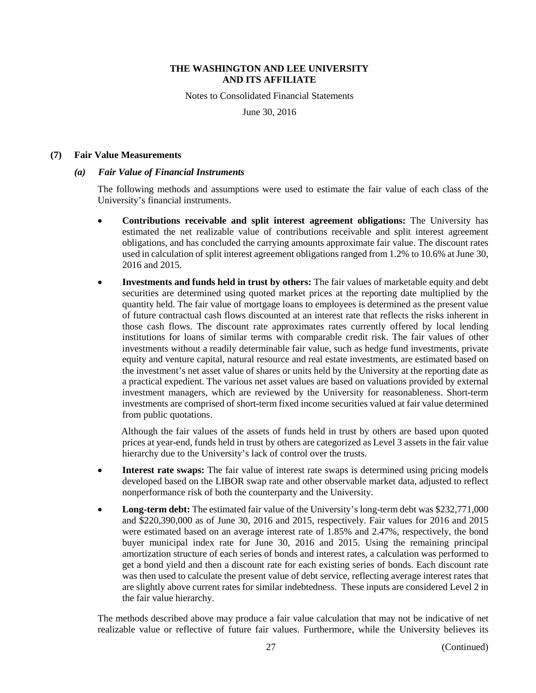Notes to Consolidated Financial Statements

June 30, 2016

#### **(7) Fair Value Measurements**

# *(a) Fair Value of Financial Instruments*

The following methods and assumptions were used to estimate the fair value of each class of the University's financial instruments.

- **Contributions receivable and split interest agreement obligations:** The University has estimated the net realizable value of contributions receivable and split interest agreement obligations, and has concluded the carrying amounts approximate fair value. The discount rates used in calculation of split interest agreement obligations ranged from 1.2% to 10.6% at June 30, 2016 and 2015.
- **Investments and funds held in trust by others:** The fair values of marketable equity and debt securities are determined using quoted market prices at the reporting date multiplied by the quantity held. The fair value of mortgage loans to employees is determined as the present value of future contractual cash flows discounted at an interest rate that reflects the risks inherent in those cash flows. The discount rate approximates rates currently offered by local lending institutions for loans of similar terms with comparable credit risk. The fair values of other investments without a readily determinable fair value, such as hedge fund investments, private equity and venture capital, natural resource and real estate investments, are estimated based on the investment's net asset value of shares or units held by the University at the reporting date as a practical expedient. The various net asset values are based on valuations provided by external investment managers, which are reviewed by the University for reasonableness. Short-term investments are comprised of short-term fixed income securities valued at fair value determined from public quotations.

Although the fair values of the assets of funds held in trust by others are based upon quoted prices at year-end, funds held in trust by others are categorized as Level 3 assets in the fair value hierarchy due to the University's lack of control over the trusts.

- **Interest rate swaps:** The fair value of interest rate swaps is determined using pricing models developed based on the LIBOR swap rate and other observable market data, adjusted to reflect nonperformance risk of both the counterparty and the University.
- **Long-term debt:** The estimated fair value of the University's long-term debt was \$232,771,000 and \$220,390,000 as of June 30, 2016 and 2015, respectively. Fair values for 2016 and 2015 were estimated based on an average interest rate of 1.85% and 2.47%, respectively, the bond buyer municipal index rate for June 30, 2016 and 2015. Using the remaining principal amortization structure of each series of bonds and interest rates, a calculation was performed to get a bond yield and then a discount rate for each existing series of bonds. Each discount rate was then used to calculate the present value of debt service, reflecting average interest rates that are slightly above current rates for similar indebtedness. These inputs are considered Level 2 in the fair value hierarchy.

The methods described above may produce a fair value calculation that may not be indicative of net realizable value or reflective of future fair values. Furthermore, while the University believes its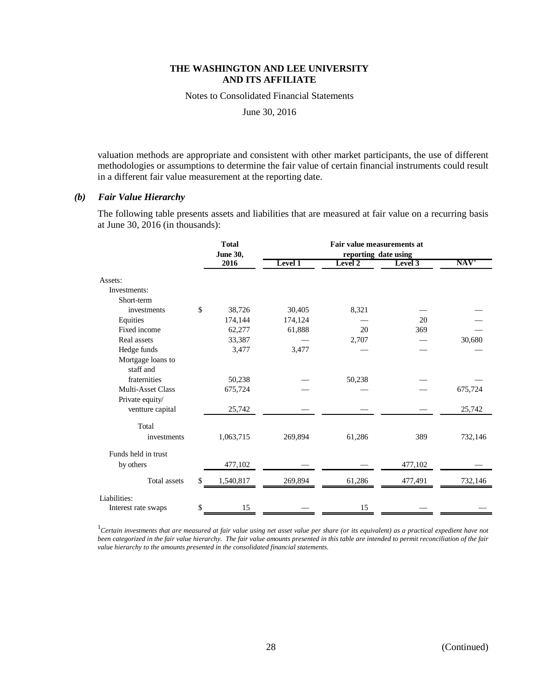Notes to Consolidated Financial Statements

June 30, 2016

valuation methods are appropriate and consistent with other market participants, the use of different methodologies or assumptions to determine the fair value of certain financial instruments could result in a different fair value measurement at the reporting date.

# *(b) Fair Value Hierarchy*

The following table presents assets and liabilities that are measured at fair value on a recurring basis at June 30, 2016 (in thousands):

|                                | <b>Total</b><br><b>June 30,</b> |         |         |                                 |                  |
|--------------------------------|---------------------------------|---------|---------|---------------------------------|------------------|
|                                | 2016                            | Level 1 | Level 2 | reporting date using<br>Level 3 | NAV <sup>T</sup> |
| Assets:                        |                                 |         |         |                                 |                  |
| Investments:                   |                                 |         |         |                                 |                  |
| Short-term                     |                                 |         |         |                                 |                  |
| investments                    | \$<br>38,726                    | 30,405  | 8,321   |                                 |                  |
| Equities                       | 174,144                         | 174,124 |         | 20                              |                  |
| Fixed income                   | 62,277                          | 61,888  | 20      | 369                             |                  |
| Real assets                    | 33,387                          |         | 2,707   |                                 | 30,680           |
| Hedge funds                    | 3,477                           | 3,477   |         |                                 |                  |
| Mortgage loans to<br>staff and |                                 |         |         |                                 |                  |
| fraternities                   | 50,238                          |         | 50,238  |                                 |                  |
| <b>Multi-Asset Class</b>       | 675,724                         |         |         |                                 | 675,724          |
| Private equity/                |                                 |         |         |                                 |                  |
| ventture capital               | 25,742                          |         |         |                                 | 25,742           |
| Total                          |                                 |         |         |                                 |                  |
| investments                    | 1,063,715                       | 269,894 | 61,286  | 389                             | 732,146          |
| Funds held in trust            |                                 |         |         |                                 |                  |
| by others                      | 477,102                         |         |         | 477,102                         |                  |
| <b>Total</b> assets            | \$<br>1,540,817                 | 269,894 | 61,286  | 477,491                         | 732,146          |
| Liabilities:                   |                                 |         |         |                                 |                  |
| Interest rate swaps            | \$<br>15                        |         | 15      |                                 |                  |

<sup>1</sup>Certain investments that are measured at fair value using net asset value per share (or its equivalent) as a practical expedient have not *been categorized in the fair value hierarchy. The fair value amounts presented in this table are intended to permit reconciliation of the fair value hierarchy to the amounts presented in the consolidated financial statements.*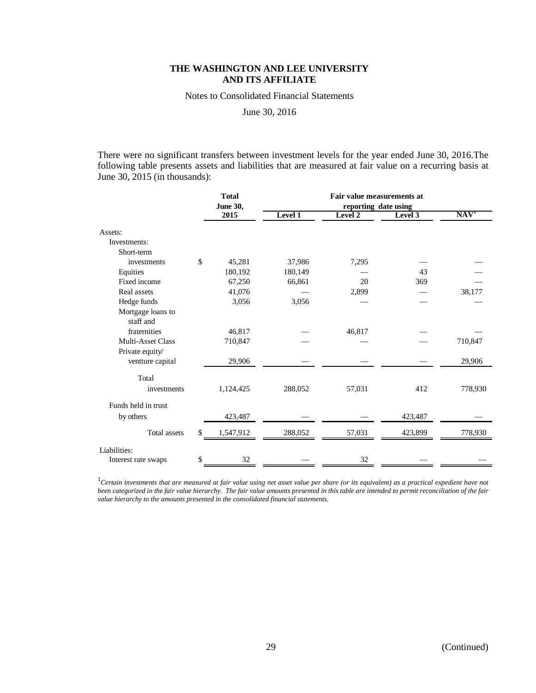Notes to Consolidated Financial Statements

June 30, 2016

There were no significant transfers between investment levels for the year ended June 30, 2016.The following table presents assets and liabilities that are measured at fair value on a recurring basis at June 30, 2015 (in thousands):

|                                | <b>Total</b><br>June 30, |         | Fair value measurements at<br>reporting date using |         |                  |  |  |
|--------------------------------|--------------------------|---------|----------------------------------------------------|---------|------------------|--|--|
|                                | 2015                     | Level 1 | Level 2                                            | Level 3 | NAV <sup>T</sup> |  |  |
| Assets:                        |                          |         |                                                    |         |                  |  |  |
| Investments:                   |                          |         |                                                    |         |                  |  |  |
| Short-term                     |                          |         |                                                    |         |                  |  |  |
| investments                    | \$<br>45,281             | 37,986  | 7,295                                              |         |                  |  |  |
| Equities                       | 180,192                  | 180,149 |                                                    | 43      |                  |  |  |
| Fixed income                   | 67,250                   | 66,861  | 20                                                 | 369     |                  |  |  |
| Real assets                    | 41,076                   |         | 2,899                                              |         | 38,177           |  |  |
| Hedge funds                    | 3,056                    | 3,056   |                                                    |         |                  |  |  |
| Mortgage loans to<br>staff and |                          |         |                                                    |         |                  |  |  |
| fraternities                   | 46,817                   |         | 46,817                                             |         |                  |  |  |
| <b>Multi-Asset Class</b>       | 710,847                  |         |                                                    |         | 710,847          |  |  |
| Private equity/                |                          |         |                                                    |         |                  |  |  |
| ventture capital               | 29,906                   |         |                                                    |         | 29,906           |  |  |
| Total                          |                          |         |                                                    |         |                  |  |  |
| investments                    | 1,124,425                | 288,052 | 57,031                                             | 412     | 778,930          |  |  |
| Funds held in trust            |                          |         |                                                    |         |                  |  |  |
| by others                      | 423,487                  |         |                                                    | 423,487 |                  |  |  |
| <b>Total assets</b>            | \$<br>1,547,912          | 288,052 | 57,031                                             | 423,899 | 778,930          |  |  |
| Liabilities:                   |                          |         |                                                    |         |                  |  |  |
| Interest rate swaps            | \$<br>32                 |         | 32                                                 |         |                  |  |  |

<sup>1</sup>Certain investments that are measured at fair value using net asset value per share (or its equivalent) as a practical expedient have not *been categorized in the fair value hierarchy. The fair value amounts presented in this table are intended to permit reconciliation of the fair value hierarchy to the amounts presented in the consolidated financial statements.*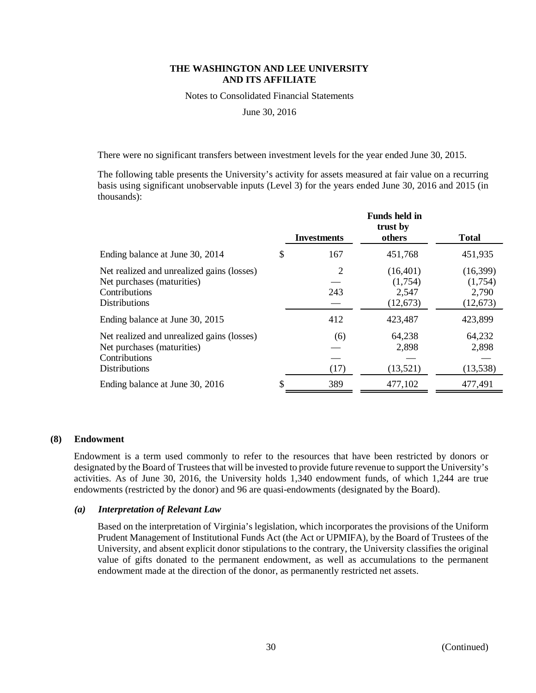Notes to Consolidated Financial Statements

June 30, 2016

There were no significant transfers between investment levels for the year ended June 30, 2015.

The following table presents the University's activity for assets measured at fair value on a recurring basis using significant unobservable inputs (Level 3) for the years ended June 30, 2016 and 2015 (in thousands):

|                                                                                                                   |   | <b>Investments</b> | <b>Funds held in</b><br>trust by<br>others | <b>Total</b>                              |
|-------------------------------------------------------------------------------------------------------------------|---|--------------------|--------------------------------------------|-------------------------------------------|
| Ending balance at June 30, 2014                                                                                   | S | 167                | 451,768                                    | 451,935                                   |
| Net realized and unrealized gains (losses)<br>Net purchases (maturities)<br>Contributions<br><b>Distributions</b> |   | 2<br>243           | (16, 401)<br>(1,754)<br>2,547<br>(12, 673) | (16,399)<br>(1,754)<br>2,790<br>(12, 673) |
| Ending balance at June 30, 2015                                                                                   |   | 412                | 423,487                                    | 423,899                                   |
| Net realized and unrealized gains (losses)<br>Net purchases (maturities)<br>Contributions<br><b>Distributions</b> |   | (6)<br>(17)        | 64,238<br>2,898<br>(13,521)                | 64,232<br>2,898<br>(13, 538)              |
| Ending balance at June 30, 2016                                                                                   | S | 389                | 477,102                                    | 477,491                                   |

#### **(8) Endowment**

Endowment is a term used commonly to refer to the resources that have been restricted by donors or designated by the Board of Trustees that will be invested to provide future revenue to support the University's activities. As of June 30, 2016, the University holds 1,340 endowment funds, of which 1,244 are true endowments (restricted by the donor) and 96 are quasi-endowments (designated by the Board).

#### *(a) Interpretation of Relevant Law*

Based on the interpretation of Virginia's legislation, which incorporates the provisions of the Uniform Prudent Management of Institutional Funds Act (the Act or UPMIFA), by the Board of Trustees of the University, and absent explicit donor stipulations to the contrary, the University classifies the original value of gifts donated to the permanent endowment, as well as accumulations to the permanent endowment made at the direction of the donor, as permanently restricted net assets.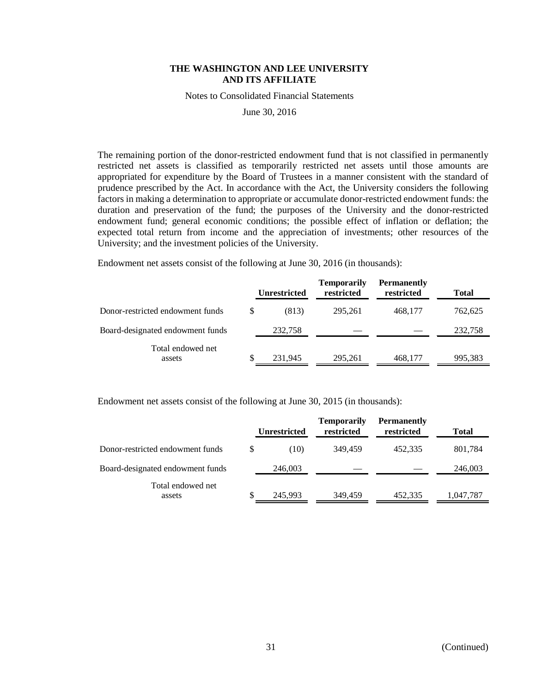Notes to Consolidated Financial Statements

June 30, 2016

The remaining portion of the donor-restricted endowment fund that is not classified in permanently restricted net assets is classified as temporarily restricted net assets until those amounts are appropriated for expenditure by the Board of Trustees in a manner consistent with the standard of prudence prescribed by the Act. In accordance with the Act, the University considers the following factors in making a determination to appropriate or accumulate donor-restricted endowment funds: the duration and preservation of the fund; the purposes of the University and the donor-restricted endowment fund; general economic conditions; the possible effect of inflation or deflation; the expected total return from income and the appreciation of investments; other resources of the University; and the investment policies of the University.

Endowment net assets consist of the following at June 30, 2016 (in thousands):

|                                  |   | <b>Unrestricted</b> | <b>Temporarily</b><br>restricted | <b>Permanently</b><br>restricted | <b>Total</b> |
|----------------------------------|---|---------------------|----------------------------------|----------------------------------|--------------|
| Donor-restricted endowment funds | S | (813)               | 295.261                          | 468,177                          | 762,625      |
| Board-designated endowment funds |   | 232,758             |                                  |                                  | 232,758      |
| Total endowed net<br>assets      |   | 231.945             | 295.261                          | 468.177                          | 995,383      |

Endowment net assets consist of the following at June 30, 2015 (in thousands):

|                                  |   | <b>Unrestricted</b> | <b>Temporarily</b><br>restricted | <b>Permanently</b><br>restricted | Total     |
|----------------------------------|---|---------------------|----------------------------------|----------------------------------|-----------|
| Donor-restricted endowment funds | S | (10)                | 349.459                          | 452.335                          | 801,784   |
| Board-designated endowment funds |   | 246,003             |                                  |                                  | 246,003   |
| Total endowed net<br>assets      |   | 245,993             | 349,459                          | 452,335                          | 1,047,787 |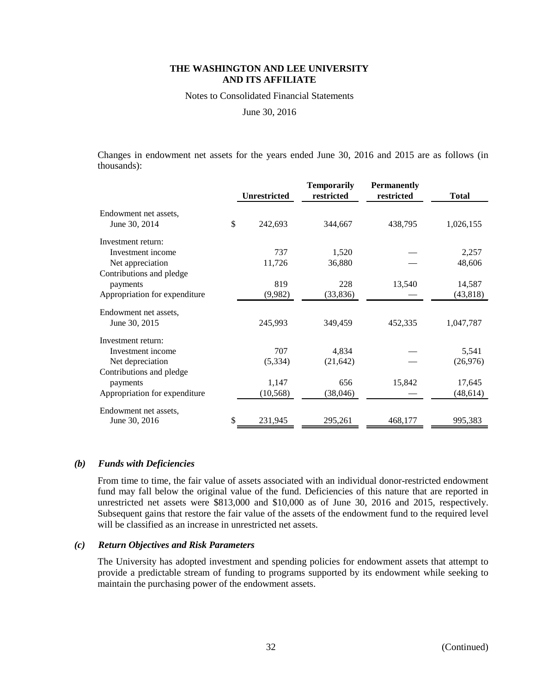Notes to Consolidated Financial Statements

June 30, 2016

Changes in endowment net assets for the years ended June 30, 2016 and 2015 are as follows (in thousands):

|                                        | <b>Unrestricted</b> | <b>Temporarily</b><br>restricted | <b>Permanently</b><br>restricted | <b>Total</b> |
|----------------------------------------|---------------------|----------------------------------|----------------------------------|--------------|
| Endowment net assets,<br>June 30, 2014 | \$<br>242,693       | 344,667                          | 438,795                          | 1,026,155    |
| Investment return:                     |                     |                                  |                                  |              |
| Investment income                      | 737                 | 1,520                            |                                  | 2,257        |
| Net appreciation                       | 11,726              | 36,880                           |                                  | 48,606       |
| Contributions and pledge               |                     |                                  |                                  |              |
| payments                               | 819                 | 228                              | 13,540                           | 14,587       |
| Appropriation for expenditure          | (9,982)             | (33, 836)                        |                                  | (43, 818)    |
| Endowment net assets,                  |                     |                                  |                                  |              |
| June 30, 2015                          | 245,993             | 349,459                          | 452,335                          | 1,047,787    |
| Investment return:                     |                     |                                  |                                  |              |
| Investment income                      | 707                 | 4,834                            |                                  | 5,541        |
| Net depreciation                       | (5,334)             | (21, 642)                        |                                  | (26,976)     |
| Contributions and pledge               |                     |                                  |                                  |              |
| payments                               | 1,147               | 656                              | 15,842                           | 17,645       |
| Appropriation for expenditure          | (10, 568)           | (38, 046)                        |                                  | (48,614)     |
| Endowment net assets,                  |                     |                                  |                                  |              |
| June 30, 2016                          | \$<br>231,945       | 295,261                          | 468,177                          | 995,383      |

#### *(b) Funds with Deficiencies*

From time to time, the fair value of assets associated with an individual donor-restricted endowment fund may fall below the original value of the fund. Deficiencies of this nature that are reported in unrestricted net assets were \$813,000 and \$10,000 as of June 30, 2016 and 2015, respectively. Subsequent gains that restore the fair value of the assets of the endowment fund to the required level will be classified as an increase in unrestricted net assets.

#### *(c) Return Objectives and Risk Parameters*

The University has adopted investment and spending policies for endowment assets that attempt to provide a predictable stream of funding to programs supported by its endowment while seeking to maintain the purchasing power of the endowment assets.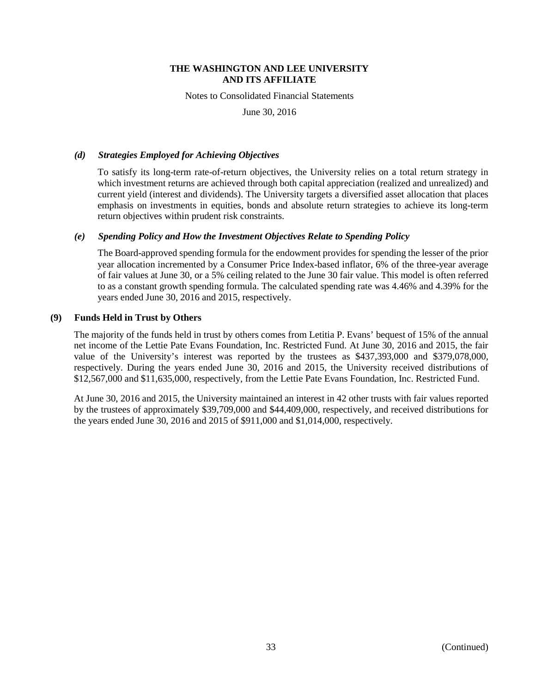Notes to Consolidated Financial Statements

June 30, 2016

## *(d) Strategies Employed for Achieving Objectives*

To satisfy its long-term rate-of-return objectives, the University relies on a total return strategy in which investment returns are achieved through both capital appreciation (realized and unrealized) and current yield (interest and dividends). The University targets a diversified asset allocation that places emphasis on investments in equities, bonds and absolute return strategies to achieve its long-term return objectives within prudent risk constraints.

# *(e) Spending Policy and How the Investment Objectives Relate to Spending Policy*

The Board-approved spending formula for the endowment provides for spending the lesser of the prior year allocation incremented by a Consumer Price Index-based inflator, 6% of the three-year average of fair values at June 30, or a 5% ceiling related to the June 30 fair value. This model is often referred to as a constant growth spending formula. The calculated spending rate was 4.46% and 4.39% for the years ended June 30, 2016 and 2015, respectively.

# **(9) Funds Held in Trust by Others**

The majority of the funds held in trust by others comes from Letitia P. Evans' bequest of 15% of the annual net income of the Lettie Pate Evans Foundation, Inc. Restricted Fund. At June 30, 2016 and 2015, the fair value of the University's interest was reported by the trustees as \$437,393,000 and \$379,078,000, respectively. During the years ended June 30, 2016 and 2015, the University received distributions of \$12,567,000 and \$11,635,000, respectively, from the Lettie Pate Evans Foundation, Inc. Restricted Fund.

At June 30, 2016 and 2015, the University maintained an interest in 42 other trusts with fair values reported by the trustees of approximately \$39,709,000 and \$44,409,000, respectively, and received distributions for the years ended June 30, 2016 and 2015 of \$911,000 and \$1,014,000, respectively.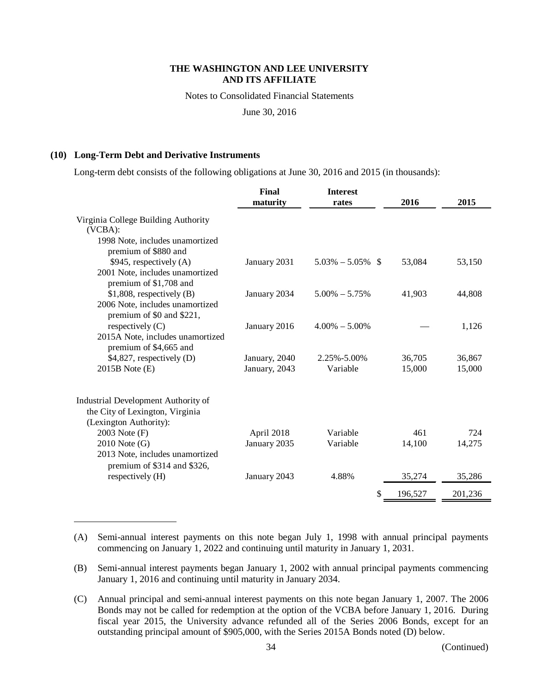Notes to Consolidated Financial Statements

June 30, 2016

# **(10) Long-Term Debt and Derivative Instruments**

Long-term debt consists of the following obligations at June 30, 2016 and 2015 (in thousands):

|                                                                                                  | Final<br>maturity | <b>Interest</b><br>rates | 2016    | 2015    |
|--------------------------------------------------------------------------------------------------|-------------------|--------------------------|---------|---------|
| Virginia College Building Authority<br>(VCBA):<br>1998 Note, includes unamortized                |                   |                          |         |         |
| premium of \$880 and                                                                             |                   |                          |         |         |
| $$945$ , respectively (A)                                                                        | January 2031      | $5.03\% - 5.05\%$ \$     | 53,084  | 53,150  |
| 2001 Note, includes unamortized<br>premium of \$1,708 and                                        |                   |                          |         |         |
| $$1,808$ , respectively (B)<br>2006 Note, includes unamortized                                   | January 2034      | $5.00\% - 5.75\%$        | 41,903  | 44,808  |
| premium of \$0 and \$221,<br>respectively (C)                                                    | January 2016      | $4.00\% - 5.00\%$        |         | 1,126   |
| 2015A Note, includes unamortized<br>premium of \$4,665 and                                       |                   |                          |         |         |
| $$4,827$ , respectively (D)                                                                      | January, 2040     | $2.25\% - 5.00\%$        | 36,705  | 36,867  |
| $2015B$ Note $(E)$                                                                               | January, 2043     | Variable                 | 15,000  | 15,000  |
| Industrial Development Authority of<br>the City of Lexington, Virginia<br>(Lexington Authority): |                   |                          |         |         |
| 2003 Note (F)                                                                                    | April 2018        | Variable                 | 461     | 724     |
| $2010$ Note $(G)$                                                                                | January 2035      | Variable                 | 14,100  | 14,275  |
| 2013 Note, includes unamortized<br>premium of \$314 and \$326,                                   |                   |                          |         |         |
| respectively (H)                                                                                 | January 2043      | 4.88%                    | 35,274  | 35,286  |
|                                                                                                  |                   | \$                       | 196,527 | 201,236 |

<sup>(</sup>A) Semi-annual interest payments on this note began July 1, 1998 with annual principal payments commencing on January 1, 2022 and continuing until maturity in January 1, 2031.

<sup>(</sup>B) Semi-annual interest payments began January 1, 2002 with annual principal payments commencing January 1, 2016 and continuing until maturity in January 2034.

<sup>(</sup>C) Annual principal and semi-annual interest payments on this note began January 1, 2007. The 2006 Bonds may not be called for redemption at the option of the VCBA before January 1, 2016. During fiscal year 2015, the University advance refunded all of the Series 2006 Bonds, except for an outstanding principal amount of \$905,000, with the Series 2015A Bonds noted (D) below.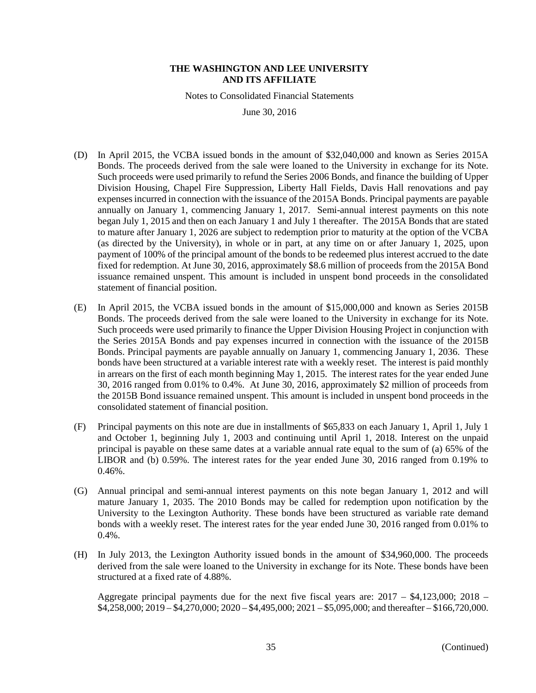Notes to Consolidated Financial Statements

June 30, 2016

- (D) In April 2015, the VCBA issued bonds in the amount of \$32,040,000 and known as Series 2015A Bonds. The proceeds derived from the sale were loaned to the University in exchange for its Note. Such proceeds were used primarily to refund the Series 2006 Bonds, and finance the building of Upper Division Housing, Chapel Fire Suppression, Liberty Hall Fields, Davis Hall renovations and pay expenses incurred in connection with the issuance of the 2015A Bonds. Principal payments are payable annually on January 1, commencing January 1, 2017. Semi-annual interest payments on this note began July 1, 2015 and then on each January 1 and July 1 thereafter. The 2015A Bonds that are stated to mature after January 1, 2026 are subject to redemption prior to maturity at the option of the VCBA (as directed by the University), in whole or in part, at any time on or after January 1, 2025, upon payment of 100% of the principal amount of the bonds to be redeemed plus interest accrued to the date fixed for redemption. At June 30, 2016, approximately \$8.6 million of proceeds from the 2015A Bond issuance remained unspent. This amount is included in unspent bond proceeds in the consolidated statement of financial position.
- (E) In April 2015, the VCBA issued bonds in the amount of \$15,000,000 and known as Series 2015B Bonds. The proceeds derived from the sale were loaned to the University in exchange for its Note. Such proceeds were used primarily to finance the Upper Division Housing Project in conjunction with the Series 2015A Bonds and pay expenses incurred in connection with the issuance of the 2015B Bonds. Principal payments are payable annually on January 1, commencing January 1, 2036. These bonds have been structured at a variable interest rate with a weekly reset. The interest is paid monthly in arrears on the first of each month beginning May 1, 2015. The interest rates for the year ended June 30, 2016 ranged from 0.01% to 0.4%. At June 30, 2016, approximately \$2 million of proceeds from the 2015B Bond issuance remained unspent. This amount is included in unspent bond proceeds in the consolidated statement of financial position.
- (F) Principal payments on this note are due in installments of \$65,833 on each January 1, April 1, July 1 and October 1, beginning July 1, 2003 and continuing until April 1, 2018. Interest on the unpaid principal is payable on these same dates at a variable annual rate equal to the sum of (a) 65% of the LIBOR and (b) 0.59%. The interest rates for the year ended June 30, 2016 ranged from 0.19% to 0.46%.
- (G) Annual principal and semi-annual interest payments on this note began January 1, 2012 and will mature January 1, 2035. The 2010 Bonds may be called for redemption upon notification by the University to the Lexington Authority. These bonds have been structured as variable rate demand bonds with a weekly reset. The interest rates for the year ended June 30, 2016 ranged from 0.01% to 0.4%.
- (H) In July 2013, the Lexington Authority issued bonds in the amount of \$34,960,000. The proceeds derived from the sale were loaned to the University in exchange for its Note. These bonds have been structured at a fixed rate of 4.88%.

Aggregate principal payments due for the next five fiscal years are: 2017 – \$4,123,000; 2018 – \$4,258,000; 2019 – \$4,270,000; 2020 – \$4,495,000; 2021 – \$5,095,000; and thereafter – \$166,720,000.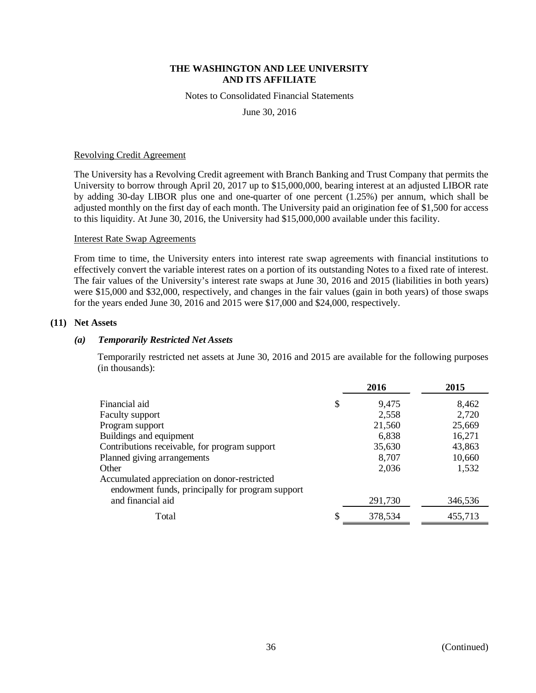Notes to Consolidated Financial Statements

June 30, 2016

#### Revolving Credit Agreement

The University has a Revolving Credit agreement with Branch Banking and Trust Company that permits the University to borrow through April 20, 2017 up to \$15,000,000, bearing interest at an adjusted LIBOR rate by adding 30-day LIBOR plus one and one-quarter of one percent (1.25%) per annum, which shall be adjusted monthly on the first day of each month. The University paid an origination fee of \$1,500 for access to this liquidity. At June 30, 2016, the University had \$15,000,000 available under this facility.

#### Interest Rate Swap Agreements

From time to time, the University enters into interest rate swap agreements with financial institutions to effectively convert the variable interest rates on a portion of its outstanding Notes to a fixed rate of interest. The fair values of the University's interest rate swaps at June 30, 2016 and 2015 (liabilities in both years) were \$15,000 and \$32,000, respectively, and changes in the fair values (gain in both years) of those swaps for the years ended June 30, 2016 and 2015 were \$17,000 and \$24,000, respectively.

# **(11) Net Assets**

#### *(a) Temporarily Restricted Net Assets*

Temporarily restricted net assets at June 30, 2016 and 2015 are available for the following purposes (in thousands):

|                                                                                                  | 2016          | 2015    |
|--------------------------------------------------------------------------------------------------|---------------|---------|
| Financial aid                                                                                    | \$<br>9,475   | 8,462   |
| Faculty support                                                                                  | 2,558         | 2,720   |
| Program support                                                                                  | 21,560        | 25,669  |
| Buildings and equipment                                                                          | 6,838         | 16,271  |
| Contributions receivable, for program support                                                    | 35,630        | 43,863  |
| Planned giving arrangements                                                                      | 8,707         | 10,660  |
| Other                                                                                            | 2,036         | 1,532   |
| Accumulated appreciation on donor-restricted<br>endowment funds, principally for program support |               |         |
| and financial aid                                                                                | 291,730       | 346,536 |
| Total                                                                                            | \$<br>378,534 | 455,713 |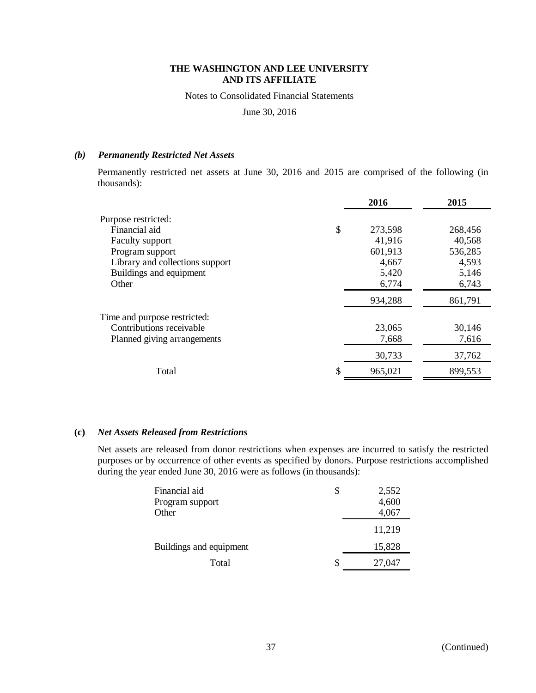Notes to Consolidated Financial Statements

June 30, 2016

# *(b) Permanently Restricted Net Assets*

Permanently restricted net assets at June 30, 2016 and 2015 are comprised of the following (in thousands):

|                                 | 2016    | 2015    |
|---------------------------------|---------|---------|
| Purpose restricted:             |         |         |
| \$<br>Financial aid             | 273,598 | 268,456 |
| Faculty support                 | 41,916  | 40,568  |
| Program support                 | 601,913 | 536,285 |
| Library and collections support | 4,667   | 4,593   |
| Buildings and equipment         | 5,420   | 5,146   |
| Other                           | 6,774   | 6,743   |
|                                 | 934,288 | 861,791 |
| Time and purpose restricted:    |         |         |
| Contributions receivable        | 23,065  | 30,146  |
| Planned giving arrangements     | 7,668   | 7,616   |
|                                 | 30,733  | 37,762  |
| \$<br>Total                     | 965,021 | 899,553 |

# **(c)** *Net Assets Released from Restrictions*

Net assets are released from donor restrictions when expenses are incurred to satisfy the restricted purposes or by occurrence of other events as specified by donors. Purpose restrictions accomplished during the year ended June 30, 2016 were as follows (in thousands):

| Financial aid<br>Program support<br>Other | 2,552<br>4,600<br>4,067 |
|-------------------------------------------|-------------------------|
|                                           | 11,219                  |
| Buildings and equipment                   | 15,828                  |
| Total                                     | 27,047                  |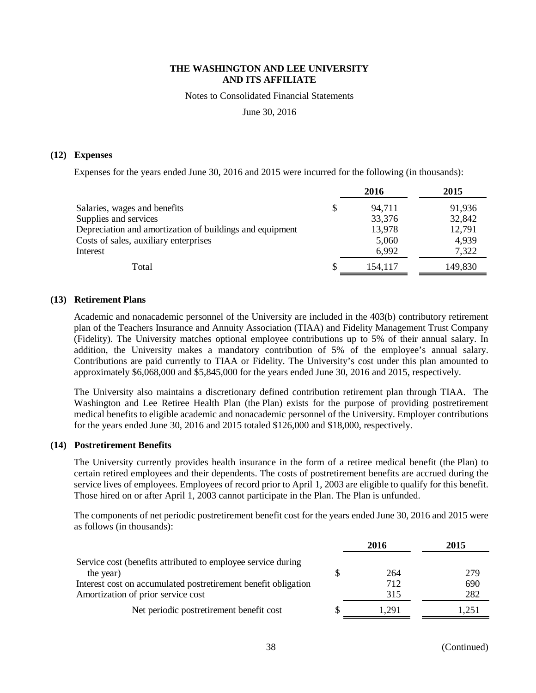Notes to Consolidated Financial Statements

June 30, 2016

#### **(12) Expenses**

Expenses for the years ended June 30, 2016 and 2015 were incurred for the following (in thousands):

|   | 2016    | 2015    |
|---|---------|---------|
| S | 94,711  | 91,936  |
|   | 33,376  | 32,842  |
|   | 13,978  | 12,791  |
|   | 5,060   | 4,939   |
|   | 6,992   | 7,322   |
|   | 154.117 | 149,830 |
|   |         |         |

#### **(13) Retirement Plans**

Academic and nonacademic personnel of the University are included in the 403(b) contributory retirement plan of the Teachers Insurance and Annuity Association (TIAA) and Fidelity Management Trust Company (Fidelity). The University matches optional employee contributions up to 5% of their annual salary. In addition, the University makes a mandatory contribution of 5% of the employee's annual salary. Contributions are paid currently to TIAA or Fidelity. The University's cost under this plan amounted to approximately \$6,068,000 and \$5,845,000 for the years ended June 30, 2016 and 2015, respectively.

The University also maintains a discretionary defined contribution retirement plan through TIAA. The Washington and Lee Retiree Health Plan (the Plan) exists for the purpose of providing postretirement medical benefits to eligible academic and nonacademic personnel of the University. Employer contributions for the years ended June 30, 2016 and 2015 totaled \$126,000 and \$18,000, respectively.

#### **(14) Postretirement Benefits**

The University currently provides health insurance in the form of a retiree medical benefit (the Plan) to certain retired employees and their dependents. The costs of postretirement benefits are accrued during the service lives of employees. Employees of record prior to April 1, 2003 are eligible to qualify for this benefit. Those hired on or after April 1, 2003 cannot participate in the Plan. The Plan is unfunded.

The components of net periodic postretirement benefit cost for the years ended June 30, 2016 and 2015 were as follows (in thousands):

|                                                                | 2016  | 2015  |
|----------------------------------------------------------------|-------|-------|
| Service cost (benefits attributed to employee service during   |       |       |
| the year)                                                      | 264   | 279   |
| Interest cost on accumulated postretirement benefit obligation | 712   | 690   |
| Amortization of prior service cost                             | 315   | 282   |
| Net periodic postretirement benefit cost                       | 1.291 | 1.251 |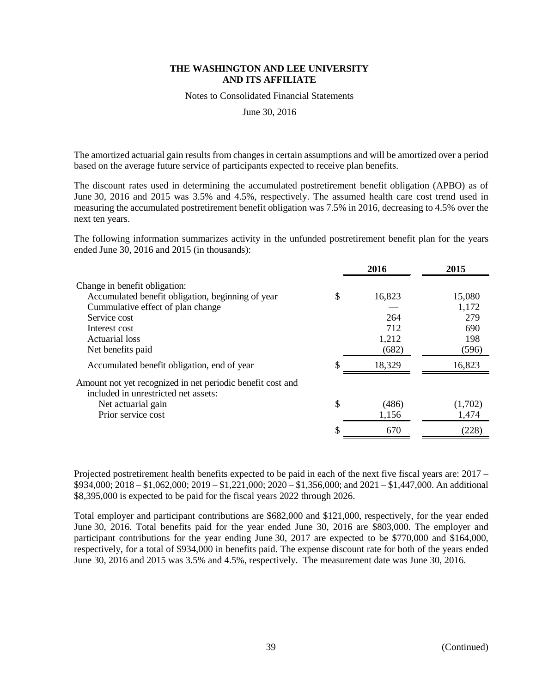Notes to Consolidated Financial Statements

June 30, 2016

The amortized actuarial gain results from changes in certain assumptions and will be amortized over a period based on the average future service of participants expected to receive plan benefits.

The discount rates used in determining the accumulated postretirement benefit obligation (APBO) as of June 30, 2016 and 2015 was 3.5% and 4.5%, respectively. The assumed health care cost trend used in measuring the accumulated postretirement benefit obligation was 7.5% in 2016, decreasing to 4.5% over the next ten years.

The following information summarizes activity in the unfunded postretirement benefit plan for the years ended June 30, 2016 and 2015 (in thousands):

|                                                            | 2016         | 2015    |
|------------------------------------------------------------|--------------|---------|
| Change in benefit obligation:                              |              |         |
| Accumulated benefit obligation, beginning of year          | \$<br>16,823 | 15,080  |
| Cummulative effect of plan change                          |              | 1,172   |
| Service cost                                               | 264          | 279     |
| Interest cost                                              | 712          | 690     |
| Actuarial loss                                             | 1,212        | 198     |
| Net benefits paid                                          | (682)        | (596)   |
| Accumulated benefit obligation, end of year                | 18,329       | 16,823  |
| Amount not yet recognized in net periodic benefit cost and |              |         |
| included in unrestricted net assets:                       |              |         |
| Net actuarial gain                                         | \$<br>(486)  | (1,702) |
| Prior service cost                                         | 1,156        | 1,474   |
|                                                            | 670          | (228)   |

Projected postretirement health benefits expected to be paid in each of the next five fiscal years are: 2017 – \$934,000; 2018 – \$1,062,000; 2019 – \$1,221,000; 2020 – \$1,356,000; and 2021 – \$1,447,000. An additional \$8,395,000 is expected to be paid for the fiscal years 2022 through 2026.

Total employer and participant contributions are \$682,000 and \$121,000, respectively, for the year ended June 30, 2016. Total benefits paid for the year ended June 30, 2016 are \$803,000. The employer and participant contributions for the year ending June 30, 2017 are expected to be \$770,000 and \$164,000, respectively, for a total of \$934,000 in benefits paid. The expense discount rate for both of the years ended June 30, 2016 and 2015 was 3.5% and 4.5%, respectively. The measurement date was June 30, 2016.